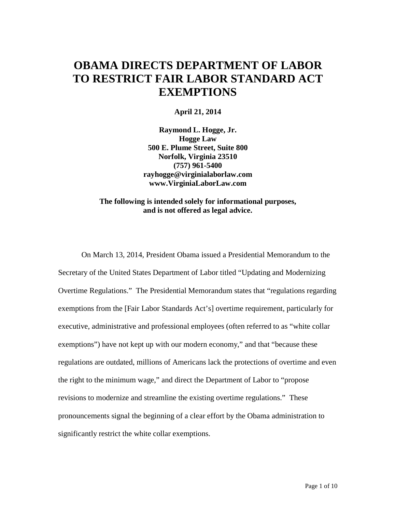# **OBAMA DIRECTS DEPARTMENT OF LABOR TO RESTRICT FAIR LABOR STANDARD ACT EXEMPTIONS**

**April 21, 2014** 

**Raymond L. Hogge, Jr. Hogge Law 500 E. Plume Street, Suite 800 Norfolk, Virginia 23510 (757) 961-5400 rayhogge@virginialaborlaw.com www.VirginiaLaborLaw.com** 

#### **The following is intended solely for informational purposes, and is not offered as legal advice.**

 On March 13, 2014, President Obama issued a Presidential Memorandum to the Secretary of the United States Department of Labor titled "Updating and Modernizing Overtime Regulations." The Presidential Memorandum states that "regulations regarding exemptions from the [Fair Labor Standards Act's] overtime requirement, particularly for executive, administrative and professional employees (often referred to as "white collar exemptions") have not kept up with our modern economy," and that "because these regulations are outdated, millions of Americans lack the protections of overtime and even the right to the minimum wage," and direct the Department of Labor to "propose revisions to modernize and streamline the existing overtime regulations." These pronouncements signal the beginning of a clear effort by the Obama administration to significantly restrict the white collar exemptions.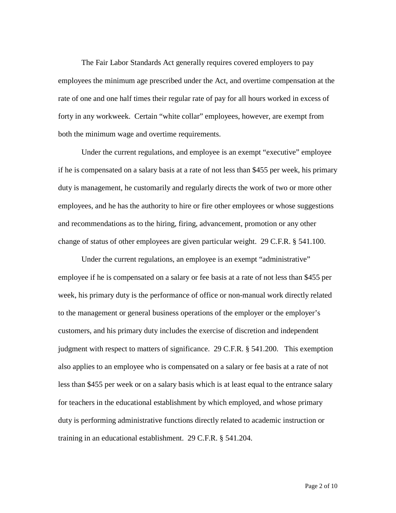The Fair Labor Standards Act generally requires covered employers to pay employees the minimum age prescribed under the Act, and overtime compensation at the rate of one and one half times their regular rate of pay for all hours worked in excess of forty in any workweek. Certain "white collar" employees, however, are exempt from both the minimum wage and overtime requirements.

Under the current regulations, and employee is an exempt "executive" employee if he is compensated on a salary basis at a rate of not less than \$455 per week, his primary duty is management, he customarily and regularly directs the work of two or more other employees, and he has the authority to hire or fire other employees or whose suggestions and recommendations as to the hiring, firing, advancement, promotion or any other change of status of other employees are given particular weight. 29 C.F.R. § 541.100.

Under the current regulations, an employee is an exempt "administrative" employee if he is compensated on a salary or fee basis at a rate of not less than \$455 per week, his primary duty is the performance of office or non-manual work directly related to the management or general business operations of the employer or the employer's customers, and his primary duty includes the exercise of discretion and independent judgment with respect to matters of significance. 29 C.F.R. § 541.200. This exemption also applies to an employee who is compensated on a salary or fee basis at a rate of not less than \$455 per week or on a salary basis which is at least equal to the entrance salary for teachers in the educational establishment by which employed, and whose primary duty is performing administrative functions directly related to academic instruction or training in an educational establishment. 29 C.F.R. § 541.204.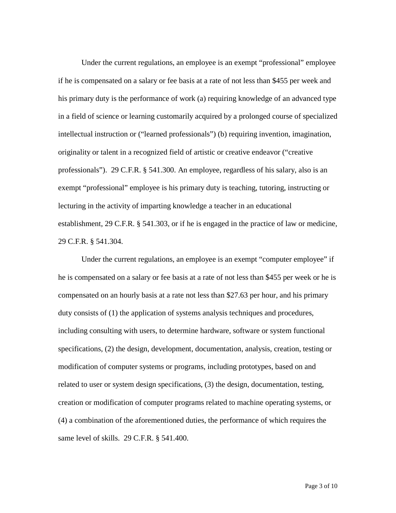Under the current regulations, an employee is an exempt "professional" employee if he is compensated on a salary or fee basis at a rate of not less than \$455 per week and his primary duty is the performance of work (a) requiring knowledge of an advanced type in a field of science or learning customarily acquired by a prolonged course of specialized intellectual instruction or ("learned professionals") (b) requiring invention, imagination, originality or talent in a recognized field of artistic or creative endeavor ("creative professionals"). 29 C.F.R. § 541.300. An employee, regardless of his salary, also is an exempt "professional" employee is his primary duty is teaching, tutoring, instructing or lecturing in the activity of imparting knowledge a teacher in an educational establishment, 29 C.F.R. § 541.303, or if he is engaged in the practice of law or medicine, 29 C.F.R. § 541.304.

Under the current regulations, an employee is an exempt "computer employee" if he is compensated on a salary or fee basis at a rate of not less than \$455 per week or he is compensated on an hourly basis at a rate not less than \$27.63 per hour, and his primary duty consists of (1) the application of systems analysis techniques and procedures, including consulting with users, to determine hardware, software or system functional specifications, (2) the design, development, documentation, analysis, creation, testing or modification of computer systems or programs, including prototypes, based on and related to user or system design specifications, (3) the design, documentation, testing, creation or modification of computer programs related to machine operating systems, or (4) a combination of the aforementioned duties, the performance of which requires the same level of skills. 29 C.F.R. § 541.400.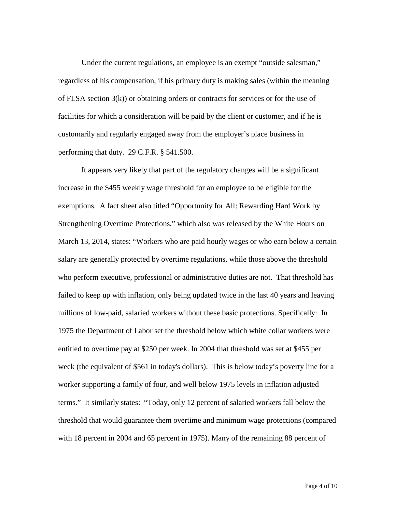Under the current regulations, an employee is an exempt "outside salesman," regardless of his compensation, if his primary duty is making sales (within the meaning of FLSA section  $3(k)$  or obtaining orders or contracts for services or for the use of facilities for which a consideration will be paid by the client or customer, and if he is customarily and regularly engaged away from the employer's place business in performing that duty. 29 C.F.R. § 541.500.

It appears very likely that part of the regulatory changes will be a significant increase in the \$455 weekly wage threshold for an employee to be eligible for the exemptions. A fact sheet also titled "Opportunity for All: Rewarding Hard Work by Strengthening Overtime Protections," which also was released by the White Hours on March 13, 2014, states: "Workers who are paid hourly wages or who earn below a certain salary are generally protected by overtime regulations, while those above the threshold who perform executive, professional or administrative duties are not. That threshold has failed to keep up with inflation, only being updated twice in the last 40 years and leaving millions of low-paid, salaried workers without these basic protections. Specifically: In 1975 the Department of Labor set the threshold below which white collar workers were entitled to overtime pay at \$250 per week. In 2004 that threshold was set at \$455 per week (the equivalent of \$561 in today's dollars). This is below today's poverty line for a worker supporting a family of four, and well below 1975 levels in inflation adjusted terms." It similarly states: "Today, only 12 percent of salaried workers fall below the threshold that would guarantee them overtime and minimum wage protections (compared with 18 percent in 2004 and 65 percent in 1975). Many of the remaining 88 percent of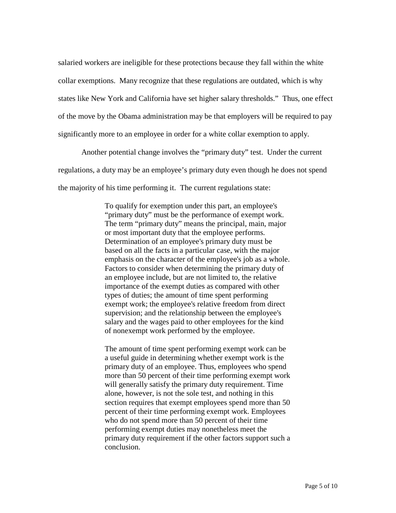salaried workers are ineligible for these protections because they fall within the white collar exemptions. Many recognize that these regulations are outdated, which is why states like New York and California have set higher salary thresholds." Thus, one effect of the move by the Obama administration may be that employers will be required to pay significantly more to an employee in order for a white collar exemption to apply.

 Another potential change involves the "primary duty" test. Under the current regulations, a duty may be an employee's primary duty even though he does not spend the majority of his time performing it. The current regulations state:

> To qualify for exemption under this part, an employee's "primary duty" must be the performance of exempt work. The term "primary duty" means the principal, main, major or most important duty that the employee performs. Determination of an employee's primary duty must be based on all the facts in a particular case, with the major emphasis on the character of the employee's job as a whole. Factors to consider when determining the primary duty of an employee include, but are not limited to, the relative importance of the exempt duties as compared with other types of duties; the amount of time spent performing exempt work; the employee's relative freedom from direct supervision; and the relationship between the employee's salary and the wages paid to other employees for the kind of nonexempt work performed by the employee.

> The amount of time spent performing exempt work can be a useful guide in determining whether exempt work is the primary duty of an employee. Thus, employees who spend more than 50 percent of their time performing exempt work will generally satisfy the primary duty requirement. Time alone, however, is not the sole test, and nothing in this section requires that exempt employees spend more than 50 percent of their time performing exempt work. Employees who do not spend more than 50 percent of their time performing exempt duties may nonetheless meet the primary duty requirement if the other factors support such a conclusion.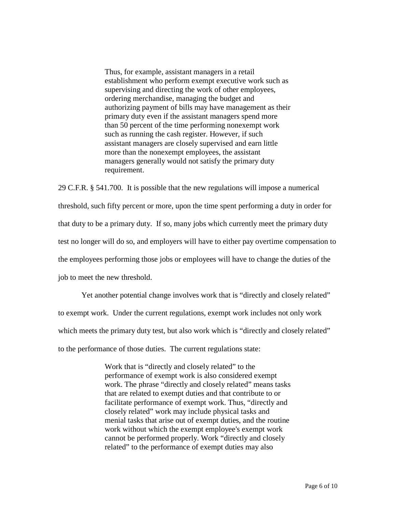Thus, for example, assistant managers in a retail establishment who perform exempt executive work such as supervising and directing the work of other employees, ordering merchandise, managing the budget and authorizing payment of bills may have management as their primary duty even if the assistant managers spend more than 50 percent of the time performing nonexempt work such as running the cash register. However, if such assistant managers are closely supervised and earn little more than the nonexempt employees, the assistant managers generally would not satisfy the primary duty requirement.

29 C.F.R. § 541.700. It is possible that the new regulations will impose a numerical threshold, such fifty percent or more, upon the time spent performing a duty in order for that duty to be a primary duty. If so, many jobs which currently meet the primary duty test no longer will do so, and employers will have to either pay overtime compensation to the employees performing those jobs or employees will have to change the duties of the job to meet the new threshold.

Yet another potential change involves work that is "directly and closely related" to exempt work. Under the current regulations, exempt work includes not only work which meets the primary duty test, but also work which is "directly and closely related" to the performance of those duties. The current regulations state:

> Work that is "directly and closely related" to the performance of exempt work is also considered exempt work. The phrase "directly and closely related" means tasks that are related to exempt duties and that contribute to or facilitate performance of exempt work. Thus, "directly and closely related" work may include physical tasks and menial tasks that arise out of exempt duties, and the routine work without which the exempt employee's exempt work cannot be performed properly. Work "directly and closely related" to the performance of exempt duties may also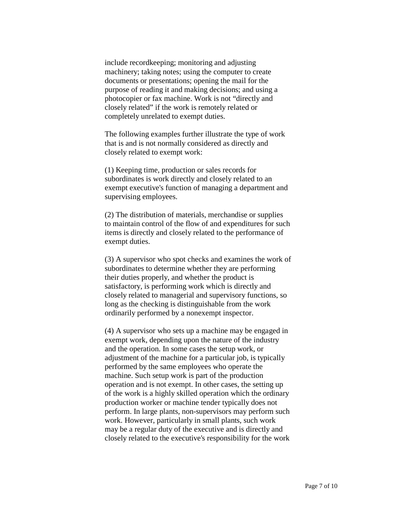include recordkeeping; monitoring and adjusting machinery; taking notes; using the computer to create documents or presentations; opening the mail for the purpose of reading it and making decisions; and using a photocopier or fax machine. Work is not "directly and closely related" if the work is remotely related or completely unrelated to exempt duties.

The following examples further illustrate the type of work that is and is not normally considered as directly and closely related to exempt work:

(1) Keeping time, production or sales records for subordinates is work directly and closely related to an exempt executive's function of managing a department and supervising employees.

(2) The distribution of materials, merchandise or supplies to maintain control of the flow of and expenditures for such items is directly and closely related to the performance of exempt duties.

(3) A supervisor who spot checks and examines the work of subordinates to determine whether they are performing their duties properly, and whether the product is satisfactory, is performing work which is directly and closely related to managerial and supervisory functions, so long as the checking is distinguishable from the work ordinarily performed by a nonexempt inspector.

(4) A supervisor who sets up a machine may be engaged in exempt work, depending upon the nature of the industry and the operation. In some cases the setup work, or adjustment of the machine for a particular job, is typically performed by the same employees who operate the machine. Such setup work is part of the production operation and is not exempt. In other cases, the setting up of the work is a highly skilled operation which the ordinary production worker or machine tender typically does not perform. In large plants, non-supervisors may perform such work. However, particularly in small plants, such work may be a regular duty of the executive and is directly and closely related to the executive's responsibility for the work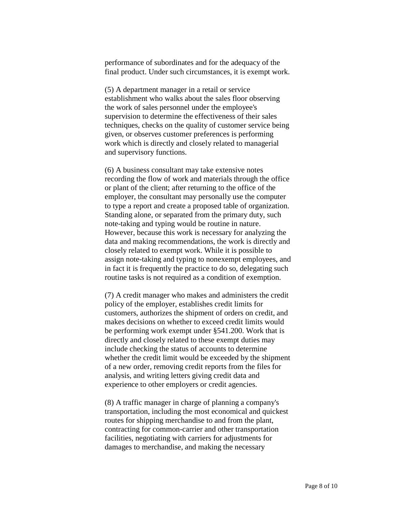performance of subordinates and for the adequacy of the final product. Under such circumstances, it is exempt work.

(5) A department manager in a retail or service establishment who walks about the sales floor observing the work of sales personnel under the employee's supervision to determine the effectiveness of their sales techniques, checks on the quality of customer service being given, or observes customer preferences is performing work which is directly and closely related to managerial and supervisory functions.

(6) A business consultant may take extensive notes recording the flow of work and materials through the office or plant of the client; after returning to the office of the employer, the consultant may personally use the computer to type a report and create a proposed table of organization. Standing alone, or separated from the primary duty, such note-taking and typing would be routine in nature. However, because this work is necessary for analyzing the data and making recommendations, the work is directly and closely related to exempt work. While it is possible to assign note-taking and typing to nonexempt employees, and in fact it is frequently the practice to do so, delegating such routine tasks is not required as a condition of exemption.

(7) A credit manager who makes and administers the credit policy of the employer, establishes credit limits for customers, authorizes the shipment of orders on credit, and makes decisions on whether to exceed credit limits would be performing work exempt under §541.200. Work that is directly and closely related to these exempt duties may include checking the status of accounts to determine whether the credit limit would be exceeded by the shipment of a new order, removing credit reports from the files for analysis, and writing letters giving credit data and experience to other employers or credit agencies.

(8) A traffic manager in charge of planning a company's transportation, including the most economical and quickest routes for shipping merchandise to and from the plant, contracting for common-carrier and other transportation facilities, negotiating with carriers for adjustments for damages to merchandise, and making the necessary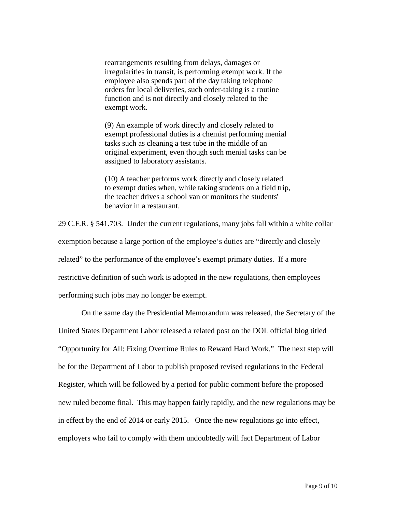rearrangements resulting from delays, damages or irregularities in transit, is performing exempt work. If the employee also spends part of the day taking telephone orders for local deliveries, such order-taking is a routine function and is not directly and closely related to the exempt work.

(9) An example of work directly and closely related to exempt professional duties is a chemist performing menial tasks such as cleaning a test tube in the middle of an original experiment, even though such menial tasks can be assigned to laboratory assistants.

(10) A teacher performs work directly and closely related to exempt duties when, while taking students on a field trip, the teacher drives a school van or monitors the students' behavior in a restaurant.

29 C.F.R. § 541.703. Under the current regulations, many jobs fall within a white collar exemption because a large portion of the employee's duties are "directly and closely related" to the performance of the employee's exempt primary duties. If a more restrictive definition of such work is adopted in the new regulations, then employees performing such jobs may no longer be exempt.

On the same day the Presidential Memorandum was released, the Secretary of the United States Department Labor released a related post on the DOL official blog titled "Opportunity for All: Fixing Overtime Rules to Reward Hard Work." The next step will be for the Department of Labor to publish proposed revised regulations in the Federal Register, which will be followed by a period for public comment before the proposed new ruled become final. This may happen fairly rapidly, and the new regulations may be in effect by the end of 2014 or early 2015. Once the new regulations go into effect, employers who fail to comply with them undoubtedly will fact Department of Labor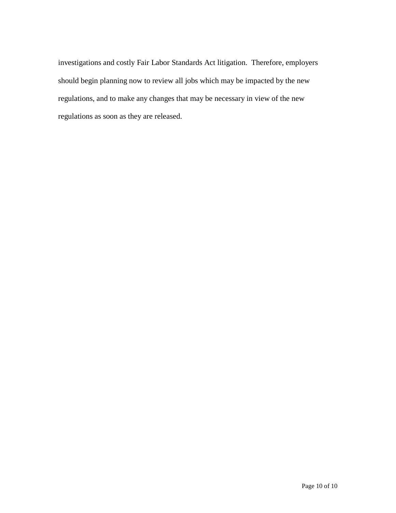investigations and costly Fair Labor Standards Act litigation. Therefore, employers should begin planning now to review all jobs which may be impacted by the new regulations, and to make any changes that may be necessary in view of the new regulations as soon as they are released.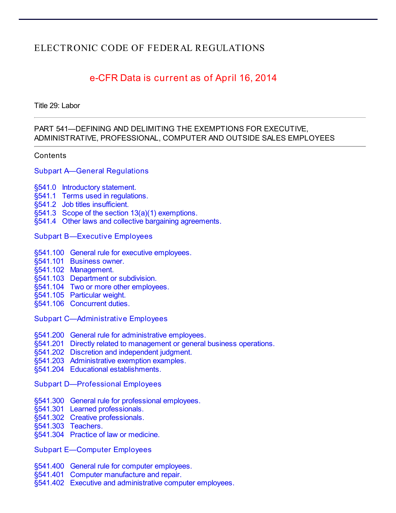## ELECTRONIC CODE OF FEDERAL REGULATIONS

## e-CFR Data is current as of April 16, 2014

Title 29: Labor

#### PART 541—DEFINING AND DELIMITING THE EXEMPTIONS FOR EXECUTIVE, ADMINISTRATIVE, PROFESSIONAL, COMPUTER AND OUTSIDE SALES EMPLOYEES

**Contents** 

Subpart A—General Regulations

- §541.0 Introductory statement.
- §541.1 Terms used in regulations.
- §541.2 Job titles insufficient.
- §541.3 Scope of the section 13(a)(1) exemptions.
- §541.4 Other laws and collective bargaining agreements.

Subpart B—Executive Employees

- §541.100 General rule for executive employees.
- §541.101 Business owner.
- §541.102 Management.
- §541.103 Department or subdivision.
- §541.104 Two or more other employees.
- §541.105 Particular weight.
- §541.106 Concurrent duties.

Subpart C—Administrative Employees

- §541.200 General rule for administrative employees.
- §541.201 Directly related to management or general business operations.
- §541.202 Discretion and independent judgment.
- §541.203 Administrative exemption examples.
- §541.204 Educational establishments.

Subpart D—Professional Employees

- §541.300 General rule for professional employees.
- §541.301 Learned professionals.
- §541.302 Creative professionals.
- §541.303 Teachers.
- §541.304 Practice of law or medicine.
- Subpart E—Computer Employees
- §541.400 General rule for computer employees.
- §541.401 Computer manufacture and repair.
- §541.402 Executive and administrative computer employees.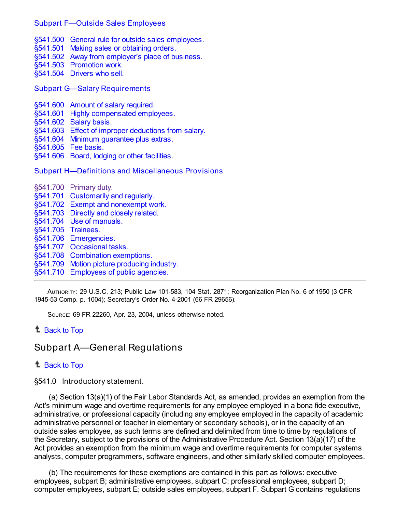#### Subpart F—Outside Sales Employees

- §541.500 General rule for outside sales employees.
- §541.501 Making sales or obtaining orders.
- §541.502 Away from employer's place of business.
- §541.503 Promotion work.
- §541.504 Drivers who sell.

Subpart G—Salary Requirements

- §541.600 Amount of salary required.
- §541.601 Highly compensated employees.
- §541.602 Salary basis.
- §541.603 Effect of improper deductions from salary.
- §541.604 Minimum guarantee plus extras.
- §541.605 Fee basis.
- §541.606 Board, lodging or other facilities.
- Subpart H—Definitions and Miscellaneous Provisions
- §541.700 Primary duty.
- §541.701 Customarily and regularly.
- §541.702 Exempt and nonexempt work.
- §541.703 Directly and closely related.
- §541.704 Use of manuals.
- §541.705 Trainees.
- §541.706 Emergencies.
- §541.707 Occasional tasks.
- §541.708 Combination exemptions.
- §541.709 Motion picture producing industry.
- §541.710 Employees of public agencies.

AUTHORITY: 29 U.S.C. 213; Public Law 101-583, 104 Stat. 2871; Reorganization Plan No. 6 of 1950 (3 CFR 1945-53 Comp. p. 1004); Secretary's Order No. 4-2001 (66 FR 29656).

SOURCE: 69 FR 22260, Apr. 23, 2004, unless otherwise noted.

<sup>t</sup> Back to Top

## Subpart A—General Regulations

#### <sup>1</sup> Back to Top

§541.0 Introductory statement.

(a) Section 13(a)(1) of the Fair Labor Standards Act, as amended, provides an exemption from the Act's minimum wage and overtime requirements for any employee employed in a bona fide executive, administrative, or professional capacity (including any employee employed in the capacity of academic administrative personnel or teacher in elementary or secondary schools), or in the capacity of an outside sales employee, as such terms are defined and delimited from time to time by regulations of the Secretary, subject to the provisions of the Administrative Procedure Act. Section 13(a)(17) of the Act provides an exemption from the minimum wage and overtime requirements for computer systems analysts, computer programmers, software engineers, and other similarly skilled computer employees.

(b) The requirements for these exemptions are contained in this part as follows: executive employees, subpart B; administrative employees, subpart C; professional employees, subpart D; computer employees, subpart E; outside sales employees, subpart F. Subpart G contains regulations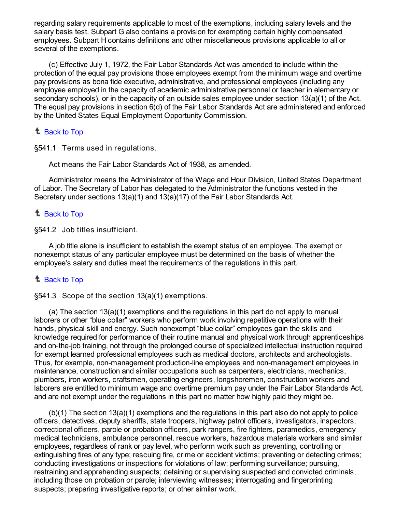regarding salary requirements applicable to most of the exemptions, including salary levels and the salary basis test. Subpart G also contains a provision for exempting certain highly compensated employees. Subpart H contains definitions and other miscellaneous provisions applicable to all or several of the exemptions.

(c) Effective July 1, 1972, the Fair Labor Standards Act was amended to include within the protection of the equal pay provisions those employees exempt from the minimum wage and overtime pay provisions as bona fide executive, administrative, and professional employees (including any employee employed in the capacity of academic administrative personnel or teacher in elementary or secondary schools), or in the capacity of an outside sales employee under section 13(a)(1) of the Act. The equal pay provisions in section 6(d) of the Fair Labor Standards Act are administered and enforced by the United States Equal Employment Opportunity Commission.

### <sup>1</sup> Back to Top

§541.1 Terms used in regulations.

Act means the Fair Labor Standards Act of 1938, as amended.

Administrator means the Administrator of the Wage and Hour Division, United States Department of Labor. The Secretary of Labor has delegated to the Administrator the functions vested in the Secretary under sections 13(a)(1) and 13(a)(17) of the Fair Labor Standards Act.

### <sup>1</sup> Back to Top

§541.2 Job titles insufficient.

A job title alone is insufficient to establish the exempt status of an employee. The exempt or nonexempt status of any particular employee must be determined on the basis of whether the employee's salary and duties meet the requirements of the regulations in this part.

### <sup>t</sup> Back to Top

§541.3 Scope of the section 13(a)(1) exemptions.

(a) The section 13(a)(1) exemptions and the regulations in this part do not apply to manual laborers or other "blue collar" workers who perform work involving repetitive operations with their hands, physical skill and energy. Such nonexempt "blue collar" employees gain the skills and knowledge required for performance of their routine manual and physical work through apprenticeships and on-the-job training, not through the prolonged course of specialized intellectual instruction required for exempt learned professional employees such as medical doctors, architects and archeologists. Thus, for example, non-management production-line employees and non-management employees in maintenance, construction and similar occupations such as carpenters, electricians, mechanics, plumbers, iron workers, craftsmen, operating engineers, longshoremen, construction workers and laborers are entitled to minimum wage and overtime premium pay under the Fair Labor Standards Act, and are not exempt under the regulations in this part no matter how highly paid they might be.

(b)(1) The section 13(a)(1) exemptions and the regulations in this part also do not apply to police officers, detectives, deputy sheriffs, state troopers, highway patrol officers, investigators, inspectors, correctional officers, parole or probation officers, park rangers, fire fighters, paramedics, emergency medical technicians, ambulance personnel, rescue workers, hazardous materials workers and similar employees, regardless of rank or pay level, who perform work such as preventing, controlling or extinguishing fires of any type; rescuing fire, crime or accident victims; preventing or detecting crimes; conducting investigations or inspections for violations of law; performing surveillance; pursuing, restraining and apprehending suspects; detaining or supervising suspected and convicted criminals, including those on probation or parole; interviewing witnesses; interrogating and fingerprinting suspects; preparing investigative reports; or other similar work.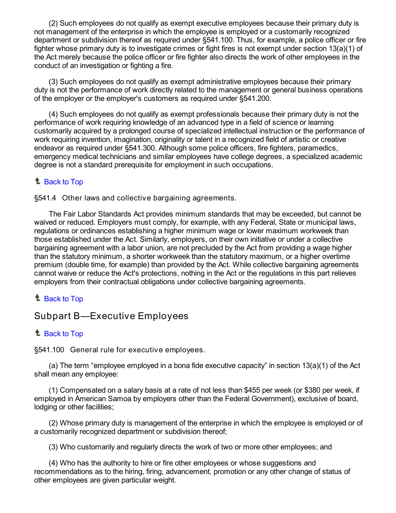(2) Such employees do not qualify as exempt executive employees because their primary duty is not management of the enterprise in which the employee is employed or a customarily recognized department or subdivision thereof as required under §541.100. Thus, for example, a police officer or fire fighter whose primary duty is to investigate crimes or fight fires is not exempt under section 13(a)(1) of the Act merely because the police officer or fire fighter also directs the work of other employees in the conduct of an investigation or fighting a fire.

(3) Such employees do not qualify as exempt administrative employees because their primary duty is not the performance of work directly related to the management or general business operations of the employer or the employer's customers as required under §541.200.

(4) Such employees do not qualify as exempt professionals because their primary duty is not the performance of work requiring knowledge of an advanced type in a field of science or learning customarily acquired by a prolonged course of specialized intellectual instruction or the performance of work requiring invention, imagination, originality or talent in a recognized field of artistic or creative endeavor as required under §541.300. Although some police officers, fire fighters, paramedics, emergency medical technicians and similar employees have college degrees, a specialized academic degree is not a standard prerequisite for employment in such occupations.

### <sup>1</sup> Back to Top

§541.4 Other laws and collective bargaining agreements.

The Fair Labor Standards Act provides minimum standards that may be exceeded, but cannot be waived or reduced. Employers must comply, for example, with any Federal, State or municipal laws, regulations or ordinances establishing a higher minimum wage or lower maximum workweek than those established under the Act. Similarly, employers, on their own initiative or under a collective bargaining agreement with a labor union, are not precluded by the Act from providing a wage higher than the statutory minimum, a shorter workweek than the statutory maximum, or a higher overtime premium (double time, for example) than provided by the Act. While collective bargaining agreements cannot waive or reduce the Act's protections, nothing in the Act or the regulations in this part relieves employers from their contractual obligations under collective bargaining agreements.

### <sup>1</sup> Back to Top

## Subpart B—Executive Employees

#### <sup>1</sup> Back to Top

§541.100 General rule for executive employees.

(a) The term "employee employed in a bona fide executive capacity" in section 13(a)(1) of the Act shall mean any employee:

(1) Compensated on a salary basis at a rate of not less than \$455 per week (or \$380 per week, if employed in American Samoa by employers other than the Federal Government), exclusive of board, lodging or other facilities;

(2) Whose primary duty is management of the enterprise in which the employee is employed or of a customarily recognized department or subdivision thereof;

(3) Who customarily and regularly directs the work of two or more other employees; and

(4) Who has the authority to hire or fire other employees or whose suggestions and recommendations as to the hiring, firing, advancement, promotion or any other change of status of other employees are given particular weight.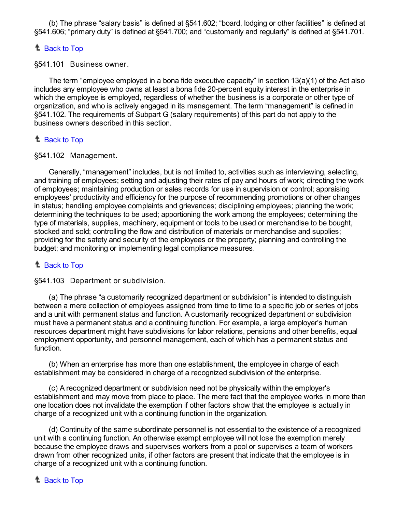(b) The phrase "salary basis" is defined at §541.602; "board, lodging or other facilities" is defined at §541.606; "primary duty" is defined at §541.700; and "customarily and regularly" is defined at §541.701.

#### <sup>t</sup> Back to Top

§541.101 Business owner.

The term "employee employed in a bona fide executive capacity" in section 13(a)(1) of the Act also includes any employee who owns at least a bona fide 20-percent equity interest in the enterprise in which the employee is employed, regardless of whether the business is a corporate or other type of organization, and who is actively engaged in its management. The term "management" is defined in §541.102. The requirements of Subpart G (salary requirements) of this part do not apply to the business owners described in this section.

#### <sup>1</sup> Back to Top

§541.102 Management.

Generally, "management" includes, but is not limited to, activities such as interviewing, selecting, and training of employees; setting and adjusting their rates of pay and hours of work; directing the work of employees; maintaining production or sales records for use in supervision or control; appraising employees' productivity and efficiency for the purpose of recommending promotions or other changes in status; handling employee complaints and grievances; disciplining employees; planning the work; determining the techniques to be used; apportioning the work among the employees; determining the type of materials, supplies, machinery, equipment or tools to be used or merchandise to be bought, stocked and sold; controlling the flow and distribution of materials or merchandise and supplies; providing for the safety and security of the employees or the property; planning and controlling the budget; and monitoring or implementing legal compliance measures.

### <sup>1</sup> Back to Top

§541.103 Department or subdivision.

(a) The phrase "a customarily recognized department or subdivision" is intended to distinguish between a mere collection of employees assigned from time to time to a specific job or series of jobs and a unit with permanent status and function. A customarily recognized department or subdivision must have a permanent status and a continuing function. For example, a large employer's human resources department might have subdivisions for labor relations, pensions and other benefits, equal employment opportunity, and personnel management, each of which has a permanent status and function.

(b) When an enterprise has more than one establishment, the employee in charge of each establishment may be considered in charge of a recognized subdivision of the enterprise.

(c) A recognized department or subdivision need not be physically within the employer's establishment and may move from place to place. The mere fact that the employee works in more than one location does not invalidate the exemption if other factors show that the employee is actually in charge of a recognized unit with a continuing function in the organization.

(d) Continuity of the same subordinate personnel is not essential to the existence of a recognized unit with a continuing function. An otherwise exempt employee will not lose the exemption merely because the employee draws and supervises workers from a pool or supervises a team of workers drawn from other recognized units, if other factors are present that indicate that the employee is in charge of a recognized unit with a continuing function.

#### <sup>t</sup> Back to Top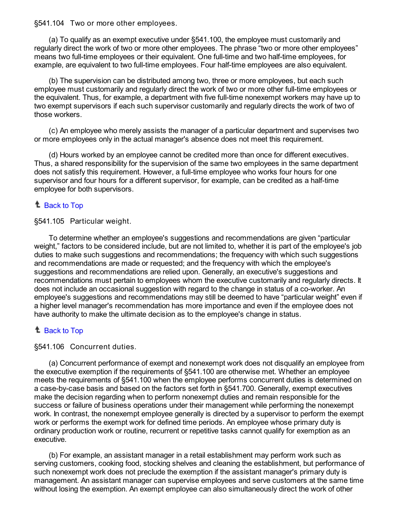§541.104 Two or more other employees.

(a) To qualify as an exempt executive under §541.100, the employee must customarily and regularly direct the work of two or more other employees. The phrase "two or more other employees" means two full-time employees or their equivalent. One full-time and two half-time employees, for example, are equivalent to two full-time employees. Four half-time employees are also equivalent.

(b) The supervision can be distributed among two, three or more employees, but each such employee must customarily and regularly direct the work of two or more other full-time employees or the equivalent. Thus, for example, a department with five full-time nonexempt workers may have up to two exempt supervisors if each such supervisor customarily and regularly directs the work of two of those workers.

(c) An employee who merely assists the manager of a particular department and supervises two or more employees only in the actual manager's absence does not meet this requirement.

(d) Hours worked by an employee cannot be credited more than once for different executives. Thus, a shared responsibility for the supervision of the same two employees in the same department does not satisfy this requirement. However, a full-time employee who works four hours for one supervisor and four hours for a different supervisor, for example, can be credited as a half-time employee for both supervisors.

#### <sup>t</sup> Back to Top

§541.105 Particular weight.

To determine whether an employee's suggestions and recommendations are given "particular weight," factors to be considered include, but are not limited to, whether it is part of the employee's job duties to make such suggestions and recommendations; the frequency with which such suggestions and recommendations are made or requested; and the frequency with which the employee's suggestions and recommendations are relied upon. Generally, an executive's suggestions and recommendations must pertain to employees whom the executive customarily and regularly directs. It does not include an occasional suggestion with regard to the change in status of a co-worker. An employee's suggestions and recommendations may still be deemed to have "particular weight" even if a higher level manager's recommendation has more importance and even if the employee does not have authority to make the ultimate decision as to the employee's change in status.

### <sup>t</sup> Back to Top

§541.106 Concurrent duties.

(a) Concurrent performance of exempt and nonexempt work does not disqualify an employee from the executive exemption if the requirements of §541.100 are otherwise met. Whether an employee meets the requirements of §541.100 when the employee performs concurrent duties is determined on a case-by-case basis and based on the factors set forth in §541.700. Generally, exempt executives make the decision regarding when to perform nonexempt duties and remain responsible for the success or failure of business operations under their management while performing the nonexempt work. In contrast, the nonexempt employee generally is directed by a supervisor to perform the exempt work or performs the exempt work for defined time periods. An employee whose primary duty is ordinary production work or routine, recurrent or repetitive tasks cannot qualify for exemption as an executive.

(b) For example, an assistant manager in a retail establishment may perform work such as serving customers, cooking food, stocking shelves and cleaning the establishment, but performance of such nonexempt work does not preclude the exemption if the assistant manager's primary duty is management. An assistant manager can supervise employees and serve customers at the same time without losing the exemption. An exempt employee can also simultaneously direct the work of other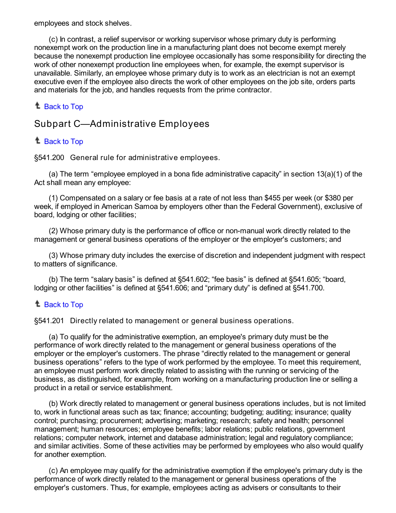employees and stock shelves.

(c) In contrast, a relief supervisor or working supervisor whose primary duty is performing nonexempt work on the production line in a manufacturing plant does not become exempt merely because the nonexempt production line employee occasionally has some responsibility for directing the work of other nonexempt production line employees when, for example, the exempt supervisor is unavailable. Similarly, an employee whose primary duty is to work as an electrician is not an exempt executive even if the employee also directs the work of other employees on the job site, orders parts and materials for the job, and handles requests from the prime contractor.

### <sup>1</sup> Back to Top

## Subpart C—Administrative Employees

#### <sup>1</sup> Back to Top

§541.200 General rule for administrative employees.

(a) The term "employee employed in a bona fide administrative capacity" in section 13(a)(1) of the Act shall mean any employee:

(1) Compensated on a salary or fee basis at a rate of not less than \$455 per week (or \$380 per week, if employed in American Samoa by employers other than the Federal Government), exclusive of board, lodging or other facilities;

(2) Whose primary duty is the performance of office or non-manual work directly related to the management or general business operations of the employer or the employer's customers; and

(3) Whose primary duty includes the exercise of discretion and independent judgment with respect to matters of significance.

(b) The term "salary basis" is defined at §541.602; "fee basis" is defined at §541.605; "board, lodging or other facilities" is defined at §541.606; and "primary duty" is defined at §541.700.

#### <sup>1</sup> Back to Top

§541.201 Directly related to management or general business operations.

(a) To qualify for the administrative exemption, an employee's primary duty must be the performance of work directly related to the management or general business operations of the employer or the employer's customers. The phrase "directly related to the management or general business operations" refers to the type of work performed by the employee. To meet this requirement, an employee must perform work directly related to assisting with the running or servicing of the business, as distinguished, for example, from working on a manufacturing production line or selling a product in a retail or service establishment.

(b) Work directly related to management or general business operations includes, but is not limited to, work in functional areas such as tax; finance; accounting; budgeting; auditing; insurance; quality control; purchasing; procurement; advertising; marketing; research; safety and health; personnel management; human resources; employee benefits; labor relations; public relations, government relations; computer network, internet and database administration; legal and regulatory compliance; and similar activities. Some of these activities may be performed by employees who also would qualify for another exemption.

(c) An employee may qualify for the administrative exemption if the employee's primary duty is the performance of work directly related to the management or general business operations of the employer's customers. Thus, for example, employees acting as advisers or consultants to their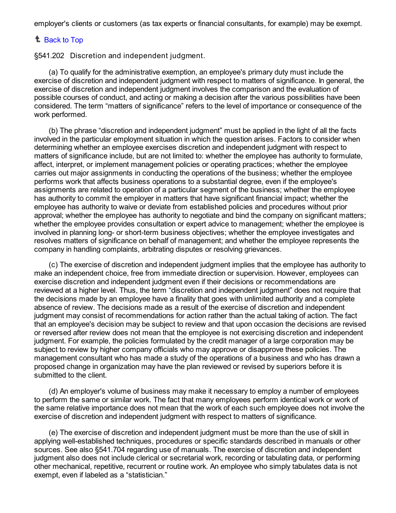employer's clients or customers (as tax experts or financial consultants, for example) may be exempt.

#### <sup>1</sup> Back to Top

§541.202 Discretion and independent judgment.

(a) To qualify for the administrative exemption, an employee's primary duty must include the exercise of discretion and independent judgment with respect to matters of significance. In general, the exercise of discretion and independent judgment involves the comparison and the evaluation of possible courses of conduct, and acting or making a decision after the various possibilities have been considered. The term "matters of significance" refers to the level of importance or consequence of the work performed.

(b) The phrase "discretion and independent judgment" must be applied in the light of all the facts involved in the particular employment situation in which the question arises. Factors to consider when determining whether an employee exercises discretion and independent judgment with respect to matters of significance include, but are not limited to: whether the employee has authority to formulate, affect, interpret, or implement management policies or operating practices; whether the employee carries out major assignments in conducting the operations of the business; whether the employee performs work that affects business operations to a substantial degree, even if the employee's assignments are related to operation of a particular segment of the business; whether the employee has authority to commit the employer in matters that have significant financial impact; whether the employee has authority to waive or deviate from established policies and procedures without prior approval; whether the employee has authority to negotiate and bind the company on significant matters; whether the employee provides consultation or expert advice to management; whether the employee is involved in planning long- or short-term business objectives; whether the employee investigates and resolves matters of significance on behalf of management; and whether the employee represents the company in handling complaints, arbitrating disputes or resolving grievances.

(c) The exercise of discretion and independent judgment implies that the employee has authority to make an independent choice, free from immediate direction or supervision. However, employees can exercise discretion and independent judgment even if their decisions or recommendations are reviewed at a higher level. Thus, the term "discretion and independent judgment" does not require that the decisions made by an employee have a finality that goes with unlimited authority and a complete absence of review. The decisions made as a result of the exercise of discretion and independent judgment may consist of recommendations for action rather than the actual taking of action. The fact that an employee's decision may be subject to review and that upon occasion the decisions are revised or reversed after review does not mean that the employee is not exercising discretion and independent judgment. For example, the policies formulated by the credit manager of a large corporation may be subject to review by higher company officials who may approve or disapprove these policies. The management consultant who has made a study of the operations of a business and who has drawn a proposed change in organization may have the plan reviewed or revised by superiors before it is submitted to the client.

(d) An employer's volume of business may make it necessary to employ a number of employees to perform the same or similar work. The fact that many employees perform identical work or work of the same relative importance does not mean that the work of each such employee does not involve the exercise of discretion and independent judgment with respect to matters of significance.

(e) The exercise of discretion and independent judgment must be more than the use of skill in applying well-established techniques, procedures or specific standards described in manuals or other sources. See also §541.704 regarding use of manuals. The exercise of discretion and independent judgment also does not include clerical or secretarial work, recording or tabulating data, or performing other mechanical, repetitive, recurrent or routine work. An employee who simply tabulates data is not exempt, even if labeled as a "statistician."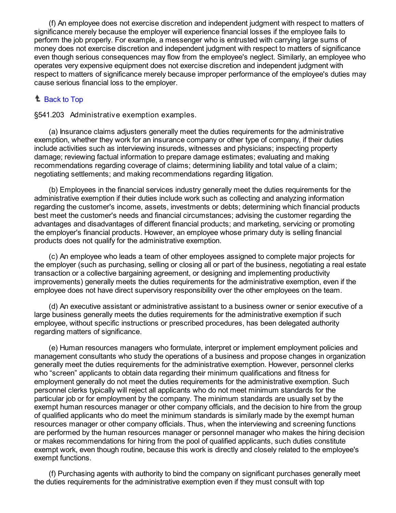(f) An employee does not exercise discretion and independent judgment with respect to matters of significance merely because the employer will experience financial losses if the employee fails to perform the job properly. For example, a messenger who is entrusted with carrying large sums of money does not exercise discretion and independent judgment with respect to matters of significance even though serious consequences may flow from the employee's neglect. Similarly, an employee who operates very expensive equipment does not exercise discretion and independent judgment with respect to matters of significance merely because improper performance of the employee's duties may cause serious financial loss to the employer.

### <sup>1</sup> Back to Top

§541.203 Administrative exemption examples.

(a) Insurance claims adjusters generally meet the duties requirements for the administrative exemption, whether they work for an insurance company or other type of company, if their duties include activities such as interviewing insureds, witnesses and physicians; inspecting property damage; reviewing factual information to prepare damage estimates; evaluating and making recommendations regarding coverage of claims; determining liability and total value of a claim; negotiating settlements; and making recommendations regarding litigation.

(b) Employees in the financial services industry generally meet the duties requirements for the administrative exemption if their duties include work such as collecting and analyzing information regarding the customer's income, assets, investments or debts; determining which financial products best meet the customer's needs and financial circumstances; advising the customer regarding the advantages and disadvantages of different financial products; and marketing, servicing or promoting the employer's financial products. However, an employee whose primary duty is selling financial products does not qualify for the administrative exemption.

(c) An employee who leads a team of other employees assigned to complete major projects for the employer (such as purchasing, selling or closing all or part of the business, negotiating a real estate transaction or a collective bargaining agreement, or designing and implementing productivity improvements) generally meets the duties requirements for the administrative exemption, even if the employee does not have direct supervisory responsibility over the other employees on the team.

(d) An executive assistant or administrative assistant to a business owner or senior executive of a large business generally meets the duties requirements for the administrative exemption if such employee, without specific instructions or prescribed procedures, has been delegated authority regarding matters of significance.

(e) Human resources managers who formulate, interpret or implement employment policies and management consultants who study the operations of a business and propose changes in organization generally meet the duties requirements for the administrative exemption. However, personnel clerks who "screen" applicants to obtain data regarding their minimum qualifications and fitness for employment generally do not meet the duties requirements for the administrative exemption. Such personnel clerks typically will reject all applicants who do not meet minimum standards for the particular job or for employment by the company. The minimum standards are usually set by the exempt human resources manager or other company officials, and the decision to hire from the group of qualified applicants who do meet the minimum standards is similarly made by the exempt human resources manager or other company officials. Thus, when the interviewing and screening functions are performed by the human resources manager or personnel manager who makes the hiring decision or makes recommendations for hiring from the pool of qualified applicants, such duties constitute exempt work, even though routine, because this work is directly and closely related to the employee's exempt functions.

(f) Purchasing agents with authority to bind the company on significant purchases generally meet the duties requirements for the administrative exemption even if they must consult with top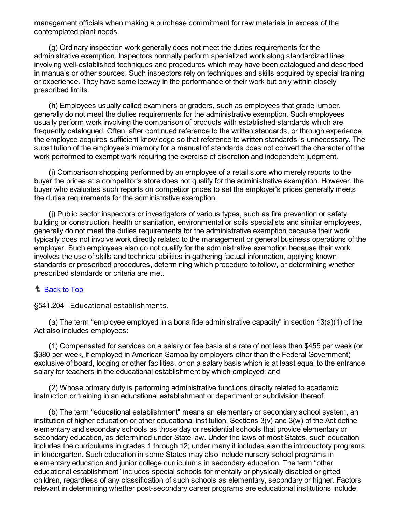management officials when making a purchase commitment for raw materials in excess of the contemplated plant needs.

(g) Ordinary inspection work generally does not meet the duties requirements for the administrative exemption. Inspectors normally perform specialized work along standardized lines involving well-established techniques and procedures which may have been catalogued and described in manuals or other sources. Such inspectors rely on techniques and skills acquired by special training or experience. They have some leeway in the performance of their work but only within closely prescribed limits.

(h) Employees usually called examiners or graders, such as employees that grade lumber, generally do not meet the duties requirements for the administrative exemption. Such employees usually perform work involving the comparison of products with established standards which are frequently catalogued. Often, after continued reference to the written standards, or through experience, the employee acquires sufficient knowledge so that reference to written standards is unnecessary. The substitution of the employee's memory for a manual of standards does not convert the character of the work performed to exempt work requiring the exercise of discretion and independent judgment.

(i) Comparison shopping performed by an employee of a retail store who merely reports to the buyer the prices at a competitor's store does not qualify for the administrative exemption. However, the buyer who evaluates such reports on competitor prices to set the employer's prices generally meets the duties requirements for the administrative exemption.

(j) Public sector inspectors or investigators of various types, such as fire prevention or safety, building or construction, health or sanitation, environmental or soils specialists and similar employees, generally do not meet the duties requirements for the administrative exemption because their work typically does not involve work directly related to the management or general business operations of the employer. Such employees also do not qualify for the administrative exemption because their work involves the use of skills and technical abilities in gathering factual information, applying known standards or prescribed procedures, determining which procedure to follow, or determining whether prescribed standards or criteria are met.

#### <sup>t</sup> Back to Top

§541.204 Educational establishments.

(a) The term "employee employed in a bona fide administrative capacity" in section 13(a)(1) of the Act also includes employees:

(1) Compensated for services on a salary or fee basis at a rate of not less than \$455 per week (or \$380 per week, if employed in American Samoa by employers other than the Federal Government) exclusive of board, lodging or other facilities, or on a salary basis which is at least equal to the entrance salary for teachers in the educational establishment by which employed; and

(2) Whose primary duty is performing administrative functions directly related to academic instruction or training in an educational establishment or department or subdivision thereof.

(b) The term "educational establishment" means an elementary or secondary school system, an institution of higher education or other educational institution. Sections 3(v) and 3(w) of the Act define elementary and secondary schools as those day or residential schools that provide elementary or secondary education, as determined under State law. Under the laws of most States, such education includes the curriculums in grades 1 through 12; under many it includes also the introductory programs in kindergarten. Such education in some States may also include nursery school programs in elementary education and junior college curriculums in secondary education. The term "other educational establishment" includes special schools for mentally or physically disabled or gifted children, regardless of any classification of such schools as elementary, secondary or higher. Factors relevant in determining whether post-secondary career programs are educational institutions include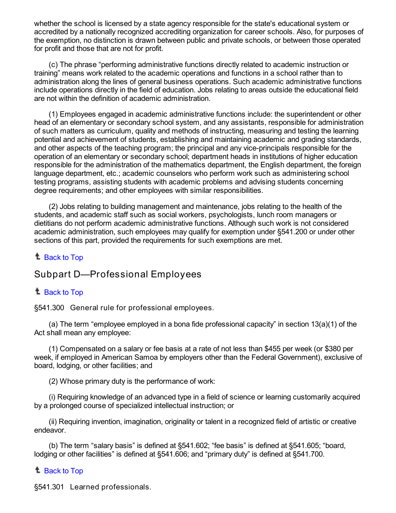whether the school is licensed by a state agency responsible for the state's educational system or accredited by a nationally recognized accrediting organization for career schools. Also, for purposes of the exemption, no distinction is drawn between public and private schools, or between those operated for profit and those that are not for profit.

(c) The phrase "performing administrative functions directly related to academic instruction or training" means work related to the academic operations and functions in a school rather than to administration along the lines of general business operations. Such academic administrative functions include operations directly in the field of education. Jobs relating to areas outside the educational field are not within the definition of academic administration.

(1) Employees engaged in academic administrative functions include: the superintendent or other head of an elementary or secondary school system, and any assistants, responsible for administration of such matters as curriculum, quality and methods of instructing, measuring and testing the learning potential and achievement of students, establishing and maintaining academic and grading standards, and other aspects of the teaching program; the principal and any vice-principals responsible for the operation of an elementary or secondary school; department heads in institutions of higher education responsible for the administration of the mathematics department, the English department, the foreign language department, etc.; academic counselors who perform work such as administering school testing programs, assisting students with academic problems and advising students concerning degree requirements; and other employees with similar responsibilities.

(2) Jobs relating to building management and maintenance, jobs relating to the health of the students, and academic staff such as social workers, psychologists, lunch room managers or dietitians do not perform academic administrative functions. Although such work is not considered academic administration, such employees may qualify for exemption under §541.200 or under other sections of this part, provided the requirements for such exemptions are met.

### <sup>1</sup> Back to Top

## Subpart D—Professional Employees

### <sup>1</sup> Back to Top

§541.300 General rule for professional employees.

(a) The term "employee employed in a bona fide professional capacity" in section  $13(a)(1)$  of the Act shall mean any employee:

(1) Compensated on a salary or fee basis at a rate of not less than \$455 per week (or \$380 per week, if employed in American Samoa by employers other than the Federal Government), exclusive of board, lodging, or other facilities; and

(2) Whose primary duty is the performance of work:

(i) Requiring knowledge of an advanced type in a field of science or learning customarily acquired by a prolonged course of specialized intellectual instruction; or

(ii) Requiring invention, imagination, originality or talent in a recognized field of artistic or creative endeavor.

(b) The term "salary basis" is defined at §541.602; "fee basis" is defined at §541.605; "board, lodging or other facilities" is defined at §541.606; and "primary duty" is defined at §541.700.

### <sup>1</sup> Back to Top

§541.301 Learned professionals.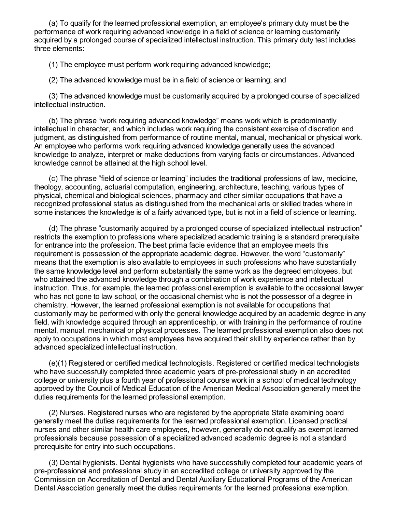(a) To qualify for the learned professional exemption, an employee's primary duty must be the performance of work requiring advanced knowledge in a field of science or learning customarily acquired by a prolonged course of specialized intellectual instruction. This primary duty test includes three elements:

(1) The employee must perform work requiring advanced knowledge;

(2) The advanced knowledge must be in a field of science or learning; and

(3) The advanced knowledge must be customarily acquired by a prolonged course of specialized intellectual instruction.

(b) The phrase "work requiring advanced knowledge" means work which is predominantly intellectual in character, and which includes work requiring the consistent exercise of discretion and judgment, as distinguished from performance of routine mental, manual, mechanical or physical work. An employee who performs work requiring advanced knowledge generally uses the advanced knowledge to analyze, interpret or make deductions from varying facts or circumstances. Advanced knowledge cannot be attained at the high school level.

(c) The phrase "field of science or learning" includes the traditional professions of law, medicine, theology, accounting, actuarial computation, engineering, architecture, teaching, various types of physical, chemical and biological sciences, pharmacy and other similar occupations that have a recognized professional status as distinguished from the mechanical arts or skilled trades where in some instances the knowledge is of a fairly advanced type, but is not in a field of science or learning.

(d) The phrase "customarily acquired by a prolonged course of specialized intellectual instruction" restricts the exemption to professions where specialized academic training is a standard prerequisite for entrance into the profession. The best prima facie evidence that an employee meets this requirement is possession of the appropriate academic degree. However, the word "customarily" means that the exemption is also available to employees in such professions who have substantially the same knowledge level and perform substantially the same work as the degreed employees, but who attained the advanced knowledge through a combination of work experience and intellectual instruction. Thus, for example, the learned professional exemption is available to the occasional lawyer who has not gone to law school, or the occasional chemist who is not the possessor of a degree in chemistry. However, the learned professional exemption is not available for occupations that customarily may be performed with only the general knowledge acquired by an academic degree in any field, with knowledge acquired through an apprenticeship, or with training in the performance of routine mental, manual, mechanical or physical processes. The learned professional exemption also does not apply to occupations in which most employees have acquired their skill by experience rather than by advanced specialized intellectual instruction.

(e)(1) Registered or certified medical technologists. Registered or certified medical technologists who have successfully completed three academic years of pre-professional study in an accredited college or university plus a fourth year of professional course work in a school of medical technology approved by the Council of Medical Education of the American Medical Association generally meet the duties requirements for the learned professional exemption.

(2) Nurses. Registered nurses who are registered by the appropriate State examining board generally meet the duties requirements for the learned professional exemption. Licensed practical nurses and other similar health care employees, however, generally do not qualify as exempt learned professionals because possession of a specialized advanced academic degree is not a standard prerequisite for entry into such occupations.

(3) Dental hygienists. Dental hygienists who have successfully completed four academic years of pre-professional and professional study in an accredited college or university approved by the Commission on Accreditation of Dental and Dental Auxiliary Educational Programs of the American Dental Association generally meet the duties requirements for the learned professional exemption.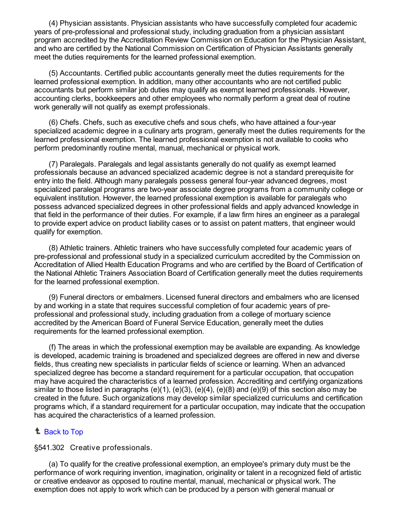(4) Physician assistants. Physician assistants who have successfully completed four academic years of pre-professional and professional study, including graduation from a physician assistant program accredited by the Accreditation Review Commission on Education for the Physician Assistant, and who are certified by the National Commission on Certification of Physician Assistants generally meet the duties requirements for the learned professional exemption.

(5) Accountants. Certified public accountants generally meet the duties requirements for the learned professional exemption. In addition, many other accountants who are not certified public accountants but perform similar job duties may qualify as exempt learned professionals. However, accounting clerks, bookkeepers and other employees who normally perform a great deal of routine work generally will not qualify as exempt professionals.

(6) Chefs. Chefs, such as executive chefs and sous chefs, who have attained a four-year specialized academic degree in a culinary arts program, generally meet the duties requirements for the learned professional exemption. The learned professional exemption is not available to cooks who perform predominantly routine mental, manual, mechanical or physical work.

(7) Paralegals. Paralegals and legal assistants generally do not qualify as exempt learned professionals because an advanced specialized academic degree is not a standard prerequisite for entry into the field. Although many paralegals possess general four-year advanced degrees, most specialized paralegal programs are two-year associate degree programs from a community college or equivalent institution. However, the learned professional exemption is available for paralegals who possess advanced specialized degrees in other professional fields and apply advanced knowledge in that field in the performance of their duties. For example, if a law firm hires an engineer as a paralegal to provide expert advice on product liability cases or to assist on patent matters, that engineer would qualify for exemption.

(8) Athletic trainers. Athletic trainers who have successfully completed four academic years of pre-professional and professional study in a specialized curriculum accredited by the Commission on Accreditation of Allied Health Education Programs and who are certified by the Board of Certification of the National Athletic Trainers Association Board of Certification generally meet the duties requirements for the learned professional exemption.

(9) Funeral directors or embalmers. Licensed funeral directors and embalmers who are licensed by and working in a state that requires successful completion of four academic years of preprofessional and professional study, including graduation from a college of mortuary science accredited by the American Board of Funeral Service Education, generally meet the duties requirements for the learned professional exemption.

(f) The areas in which the professional exemption may be available are expanding. As knowledge is developed, academic training is broadened and specialized degrees are offered in new and diverse fields, thus creating new specialists in particular fields of science or learning. When an advanced specialized degree has become a standard requirement for a particular occupation, that occupation may have acquired the characteristics of a learned profession. Accrediting and certifying organizations similar to those listed in paragraphs (e)(1), (e)(3), (e)(4), (e)(8) and (e)(9) of this section also may be created in the future. Such organizations may develop similar specialized curriculums and certification programs which, if a standard requirement for a particular occupation, may indicate that the occupation has acquired the characteristics of a learned profession.

#### <sup>1</sup> Back to Top

§541.302 Creative professionals.

(a) To qualify for the creative professional exemption, an employee's primary duty must be the performance of work requiring invention, imagination, originality or talent in a recognized field of artistic or creative endeavor as opposed to routine mental, manual, mechanical or physical work. The exemption does not apply to work which can be produced by a person with general manual or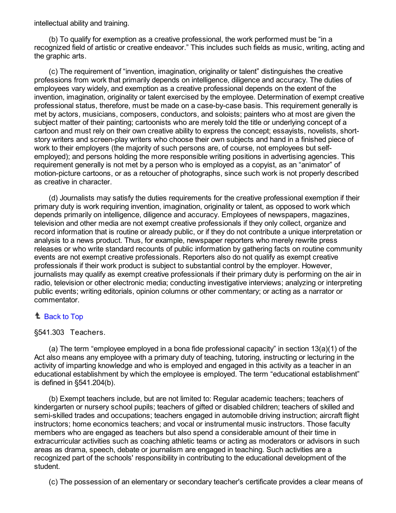intellectual ability and training.

(b) To qualify for exemption as a creative professional, the work performed must be "in a recognized field of artistic or creative endeavor." This includes such fields as music, writing, acting and the graphic arts.

(c) The requirement of "invention, imagination, originality or talent" distinguishes the creative professions from work that primarily depends on intelligence, diligence and accuracy. The duties of employees vary widely, and exemption as a creative professional depends on the extent of the invention, imagination, originality or talent exercised by the employee. Determination of exempt creative professional status, therefore, must be made on a case-by-case basis. This requirement generally is met by actors, musicians, composers, conductors, and soloists; painters who at most are given the subject matter of their painting; cartoonists who are merely told the title or underlying concept of a cartoon and must rely on their own creative ability to express the concept; essayists, novelists, shortstory writers and screen-play writers who choose their own subjects and hand in a finished piece of work to their employers (the majority of such persons are, of course, not employees but selfemployed); and persons holding the more responsible writing positions in advertising agencies. This requirement generally is not met by a person who is employed as a copyist, as an "animator" of motion-picture cartoons, or as a retoucher of photographs, since such work is not properly described as creative in character.

(d) Journalists may satisfy the duties requirements for the creative professional exemption if their primary duty is work requiring invention, imagination, originality or talent, as opposed to work which depends primarily on intelligence, diligence and accuracy. Employees of newspapers, magazines, television and other media are not exempt creative professionals if they only collect, organize and record information that is routine or already public, or if they do not contribute a unique interpretation or analysis to a news product. Thus, for example, newspaper reporters who merely rewrite press releases or who write standard recounts of public information by gathering facts on routine community events are not exempt creative professionals. Reporters also do not qualify as exempt creative professionals if their work product is subject to substantial control by the employer. However, journalists may qualify as exempt creative professionals if their primary duty is performing on the air in radio, television or other electronic media; conducting investigative interviews; analyzing or interpreting public events; writing editorials, opinion columns or other commentary; or acting as a narrator or commentator.

### <sup>t</sup> Back to Top

§541.303 Teachers.

(a) The term "employee employed in a bona fide professional capacity" in section 13(a)(1) of the Act also means any employee with a primary duty of teaching, tutoring, instructing or lecturing in the activity of imparting knowledge and who is employed and engaged in this activity as a teacher in an educational establishment by which the employee is employed. The term "educational establishment" is defined in §541.204(b).

(b) Exempt teachers include, but are not limited to: Regular academic teachers; teachers of kindergarten or nursery school pupils; teachers of gifted or disabled children; teachers of skilled and semi-skilled trades and occupations; teachers engaged in automobile driving instruction; aircraft flight instructors; home economics teachers; and vocal or instrumental music instructors. Those faculty members who are engaged as teachers but also spend a considerable amount of their time in extracurricular activities such as coaching athletic teams or acting as moderators or advisors in such areas as drama, speech, debate or journalism are engaged in teaching. Such activities are a recognized part of the schools' responsibility in contributing to the educational development of the student.

(c) The possession of an elementary or secondary teacher's certificate provides a clear means of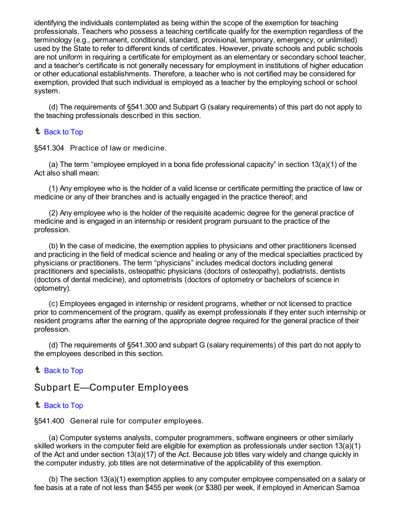identifying the individuals contemplated as being within the scope of the exemption for teaching professionals. Teachers who possess a teaching certificate qualify for the exemption regardless of the terminology (e.g., permanent, conditional, standard, provisional, temporary, emergency, or unlimited) used by the State to refer to different kinds of certificates. However, private schools and public schools are not uniform in requiring a certificate for employment as an elementary or secondary school teacher, and a teacher's certificate is not generally necessary for employment in institutions of higher education or other educational establishments. Therefore, a teacher who is not certified may be considered for exemption, provided that such individual is employed as a teacher by the employing school or school system.

(d) The requirements of §541.300 and Subpart G (salary requirements) of this part do not apply to the teaching professionals described in this section.

#### <sup>1</sup> Back to Top

§541.304 Practice of law or medicine.

(a) The term "employee employed in a bona fide professional capacity" in section  $13(a)(1)$  of the Act also shall mean:

(1) Any employee who is the holder of a valid license or certificate permitting the practice of law or medicine or any of their branches and is actually engaged in the practice thereof; and

(2) Any employee who is the holder of the requisite academic degree for the general practice of medicine and is engaged in an internship or resident program pursuant to the practice of the profession.

(b) In the case of medicine, the exemption applies to physicians and other practitioners licensed and practicing in the field of medical science and healing or any of the medical specialties practiced by physicians or practitioners. The term "physicians" includes medical doctors including general practitioners and specialists, osteopathic physicians (doctors of osteopathy), podiatrists, dentists (doctors of dental medicine), and optometrists (doctors of optometry or bachelors of science in optometry).

(c) Employees engaged in internship or resident programs, whether or not licensed to practice prior to commencement of the program, qualify as exempt professionals if they enter such internship or resident programs after the earning of the appropriate degree required for the general practice of their profession.

(d) The requirements of §541.300 and subpart G (salary requirements) of this part do not apply to the employees described in this section.

#### <sup>1</sup> Back to Top

### Subpart E—Computer Employees

#### <sup>t</sup> Back to Top

§541.400 General rule for computer employees.

(a) Computer systems analysts, computer programmers, software engineers or other similarly skilled workers in the computer field are eligible for exemption as professionals under section 13(a)(1) of the Act and under section 13(a)(17) of the Act. Because job titles vary widely and change quickly in the computer industry, job titles are not determinative of the applicability of this exemption.

(b) The section 13(a)(1) exemption applies to any computer employee compensated on a salary or fee basis at a rate of not less than \$455 per week (or \$380 per week, if employed in American Samoa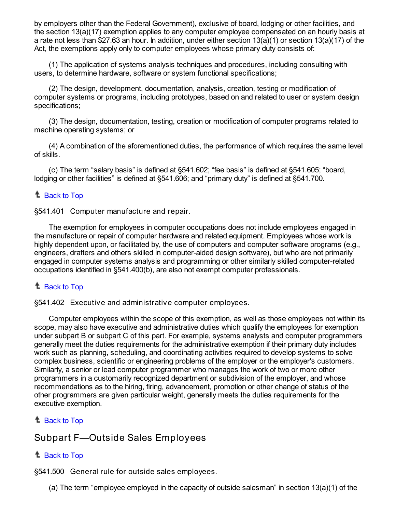by employers other than the Federal Government), exclusive of board, lodging or other facilities, and the section 13(a)(17) exemption applies to any computer employee compensated on an hourly basis at a rate not less than \$27.63 an hour. In addition, under either section 13(a)(1) or section 13(a)(17) of the Act, the exemptions apply only to computer employees whose primary duty consists of:

(1) The application of systems analysis techniques and procedures, including consulting with users, to determine hardware, software or system functional specifications;

(2) The design, development, documentation, analysis, creation, testing or modification of computer systems or programs, including prototypes, based on and related to user or system design specifications;

(3) The design, documentation, testing, creation or modification of computer programs related to machine operating systems; or

(4) A combination of the aforementioned duties, the performance of which requires the same level of skills.

(c) The term "salary basis" is defined at §541.602; "fee basis" is defined at §541.605; "board, lodging or other facilities" is defined at §541.606; and "primary duty" is defined at §541.700.

### <sup>1</sup> Back to Top

§541.401 Computer manufacture and repair.

The exemption for employees in computer occupations does not include employees engaged in the manufacture or repair of computer hardware and related equipment. Employees whose work is highly dependent upon, or facilitated by, the use of computers and computer software programs (e.g., engineers, drafters and others skilled in computer-aided design software), but who are not primarily engaged in computer systems analysis and programming or other similarly skilled computer-related occupations identified in §541.400(b), are also not exempt computer professionals.

### <sup>1</sup> Back to Top

§541.402 Executive and administrative computer employees.

Computer employees within the scope of this exemption, as well as those employees not within its scope, may also have executive and administrative duties which qualify the employees for exemption under subpart B or subpart C of this part. For example, systems analysts and computer programmers generally meet the duties requirements for the administrative exemption if their primary duty includes work such as planning, scheduling, and coordinating activities required to develop systems to solve complex business, scientific or engineering problems of the employer or the employer's customers. Similarly, a senior or lead computer programmer who manages the work of two or more other programmers in a customarily recognized department or subdivision of the employer, and whose recommendations as to the hiring, firing, advancement, promotion or other change of status of the other programmers are given particular weight, generally meets the duties requirements for the executive exemption.

### <sup>1</sup> Back to Top

## Subpart F—Outside Sales Employees

### <sup>1</sup> Back to Top

§541.500 General rule for outside sales employees.

(a) The term "employee employed in the capacity of outside salesman" in section 13(a)(1) of the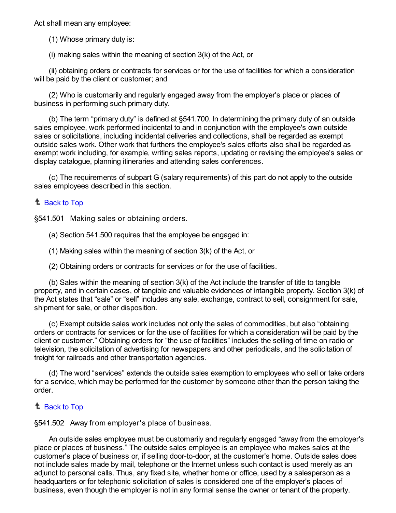Act shall mean any employee:

(1) Whose primary duty is:

(i) making sales within the meaning of section 3(k) of the Act, or

(ii) obtaining orders or contracts for services or for the use of facilities for which a consideration will be paid by the client or customer; and

(2) Who is customarily and regularly engaged away from the employer's place or places of business in performing such primary duty.

(b) The term "primary duty" is defined at §541.700. In determining the primary duty of an outside sales employee, work performed incidental to and in conjunction with the employee's own outside sales or solicitations, including incidental deliveries and collections, shall be regarded as exempt outside sales work. Other work that furthers the employee's sales efforts also shall be regarded as exempt work including, for example, writing sales reports, updating or revising the employee's sales or display catalogue, planning itineraries and attending sales conferences.

(c) The requirements of subpart G (salary requirements) of this part do not apply to the outside sales employees described in this section.

## <sup>1</sup> Back to Top

§541.501 Making sales or obtaining orders.

(a) Section 541.500 requires that the employee be engaged in:

(1) Making sales within the meaning of section 3(k) of the Act, or

(2) Obtaining orders or contracts for services or for the use of facilities.

(b) Sales within the meaning of section 3(k) of the Act include the transfer of title to tangible property, and in certain cases, of tangible and valuable evidences of intangible property. Section 3(k) of the Act states that "sale" or "sell" includes any sale, exchange, contract to sell, consignment for sale, shipment for sale, or other disposition.

(c) Exempt outside sales work includes not only the sales of commodities, but also "obtaining orders or contracts for services or for the use of facilities for which a consideration will be paid by the client or customer." Obtaining orders for "the use of facilities" includes the selling of time on radio or television, the solicitation of advertising for newspapers and other periodicals, and the solicitation of freight for railroads and other transportation agencies.

(d) The word "services" extends the outside sales exemption to employees who sell or take orders for a service, which may be performed for the customer by someone other than the person taking the order.

## <sup>1</sup> Back to Top

§541.502 Away from employer's place of business.

An outside sales employee must be customarily and regularly engaged "away from the employer's place or places of business." The outside sales employee is an employee who makes sales at the customer's place of business or, if selling door-to-door, at the customer's home. Outside sales does not include sales made by mail, telephone or the Internet unless such contact is used merely as an adjunct to personal calls. Thus, any fixed site, whether home or office, used by a salesperson as a headquarters or for telephonic solicitation of sales is considered one of the employer's places of business, even though the employer is not in any formal sense the owner or tenant of the property.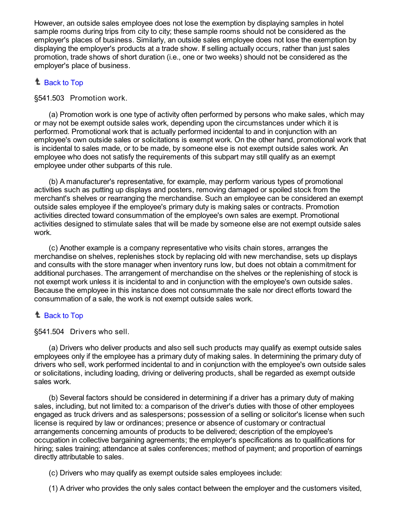However, an outside sales employee does not lose the exemption by displaying samples in hotel sample rooms during trips from city to city; these sample rooms should not be considered as the employer's places of business. Similarly, an outside sales employee does not lose the exemption by displaying the employer's products at a trade show. If selling actually occurs, rather than just sales promotion, trade shows of short duration (i.e., one or two weeks) should not be considered as the employer's place of business.

### <sup>t</sup> Back to Top

§541.503 Promotion work.

(a) Promotion work is one type of activity often performed by persons who make sales, which may or may not be exempt outside sales work, depending upon the circumstances under which it is performed. Promotional work that is actually performed incidental to and in conjunction with an employee's own outside sales or solicitations is exempt work. On the other hand, promotional work that is incidental to sales made, or to be made, by someone else is not exempt outside sales work. An employee who does not satisfy the requirements of this subpart may still qualify as an exempt employee under other subparts of this rule.

(b) A manufacturer's representative, for example, may perform various types of promotional activities such as putting up displays and posters, removing damaged or spoiled stock from the merchant's shelves or rearranging the merchandise. Such an employee can be considered an exempt outside sales employee if the employee's primary duty is making sales or contracts. Promotion activities directed toward consummation of the employee's own sales are exempt. Promotional activities designed to stimulate sales that will be made by someone else are not exempt outside sales work.

(c) Another example is a company representative who visits chain stores, arranges the merchandise on shelves, replenishes stock by replacing old with new merchandise, sets up displays and consults with the store manager when inventory runs low, but does not obtain a commitment for additional purchases. The arrangement of merchandise on the shelves or the replenishing of stock is not exempt work unless it is incidental to and in conjunction with the employee's own outside sales. Because the employee in this instance does not consummate the sale nor direct efforts toward the consummation of a sale, the work is not exempt outside sales work.

### <sup>t</sup> Back to Top

§541.504 Drivers who sell.

(a) Drivers who deliver products and also sell such products may qualify as exempt outside sales employees only if the employee has a primary duty of making sales. In determining the primary duty of drivers who sell, work performed incidental to and in conjunction with the employee's own outside sales or solicitations, including loading, driving or delivering products, shall be regarded as exempt outside sales work.

(b) Several factors should be considered in determining if a driver has a primary duty of making sales, including, but not limited to: a comparison of the driver's duties with those of other employees engaged as truck drivers and as salespersons; possession of a selling or solicitor's license when such license is required by law or ordinances; presence or absence of customary or contractual arrangements concerning amounts of products to be delivered; description of the employee's occupation in collective bargaining agreements; the employer's specifications as to qualifications for hiring; sales training; attendance at sales conferences; method of payment; and proportion of earnings directly attributable to sales.

(c) Drivers who may qualify as exempt outside sales employees include:

(1) A driver who provides the only sales contact between the employer and the customers visited,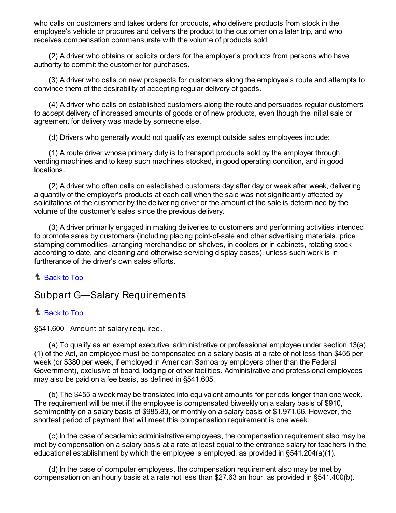who calls on customers and takes orders for products, who delivers products from stock in the employee's vehicle or procures and delivers the product to the customer on a later trip, and who receives compensation commensurate with the volume of products sold.

(2) A driver who obtains or solicits orders for the employer's products from persons who have authority to commit the customer for purchases.

(3) A driver who calls on new prospects for customers along the employee's route and attempts to convince them of the desirability of accepting regular delivery of goods.

(4) A driver who calls on established customers along the route and persuades regular customers to accept delivery of increased amounts of goods or of new products, even though the initial sale or agreement for delivery was made by someone else.

(d) Drivers who generally would not qualify as exempt outside sales employees include:

(1) A route driver whose primary duty is to transport products sold by the employer through vending machines and to keep such machines stocked, in good operating condition, and in good locations.

(2) A driver who often calls on established customers day after day or week after week, delivering a quantity of the employer's products at each call when the sale was not significantly affected by solicitations of the customer by the delivering driver or the amount of the sale is determined by the volume of the customer's sales since the previous delivery.

(3) A driver primarily engaged in making deliveries to customers and performing activities intended to promote sales by customers (including placing point-of-sale and other advertising materials, price stamping commodities, arranging merchandise on shelves, in coolers or in cabinets, rotating stock according to date, and cleaning and otherwise servicing display cases), unless such work is in furtherance of the driver's own sales efforts.

<sup>1</sup> Back to Top

### Subpart G—Salary Requirements

#### <sup>t</sup> Back to Top

§541.600 Amount of salary required.

(a) To qualify as an exempt executive, administrative or professional employee under section 13(a) (1) of the Act, an employee must be compensated on a salary basis at a rate of not less than \$455 per week (or \$380 per week, if employed in American Samoa by employers other than the Federal Government), exclusive of board, lodging or other facilities. Administrative and professional employees may also be paid on a fee basis, as defined in §541.605.

(b) The \$455 a week may be translated into equivalent amounts for periods longer than one week. The requirement will be met if the employee is compensated biweekly on a salary basis of \$910, semimonthly on a salary basis of \$985.83, or monthly on a salary basis of \$1,971.66. However, the shortest period of payment that will meet this compensation requirement is one week.

(c) In the case of academic administrative employees, the compensation requirement also may be met by compensation on a salary basis at a rate at least equal to the entrance salary for teachers in the educational establishment by which the employee is employed, as provided in §541.204(a)(1).

(d) In the case of computer employees, the compensation requirement also may be met by compensation on an hourly basis at a rate not less than \$27.63 an hour, as provided in §541.400(b).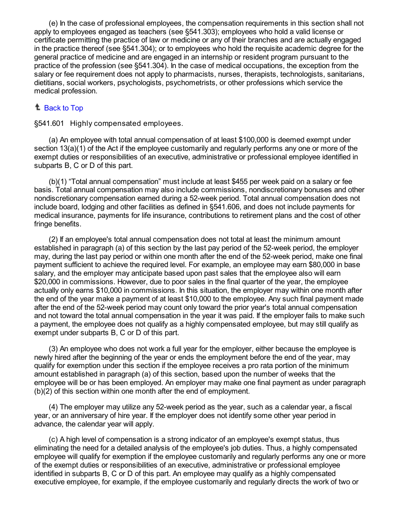(e) In the case of professional employees, the compensation requirements in this section shall not apply to employees engaged as teachers (see §541.303); employees who hold a valid license or certificate permitting the practice of law or medicine or any of their branches and are actually engaged in the practice thereof (see §541.304); or to employees who hold the requisite academic degree for the general practice of medicine and are engaged in an internship or resident program pursuant to the practice of the profession (see §541.304). In the case of medical occupations, the exception from the salary or fee requirement does not apply to pharmacists, nurses, therapists, technologists, sanitarians, dietitians, social workers, psychologists, psychometrists, or other professions which service the medical profession.

### <sup>1</sup> Back to Top

§541.601 Highly compensated employees.

(a) An employee with total annual compensation of at least \$100,000 is deemed exempt under section 13(a)(1) of the Act if the employee customarily and regularly performs any one or more of the exempt duties or responsibilities of an executive, administrative or professional employee identified in subparts B, C or D of this part.

(b)(1) "Total annual compensation" must include at least \$455 per week paid on a salary or fee basis. Total annual compensation may also include commissions, nondiscretionary bonuses and other nondiscretionary compensation earned during a 52-week period. Total annual compensation does not include board, lodging and other facilities as defined in §541.606, and does not include payments for medical insurance, payments for life insurance, contributions to retirement plans and the cost of other fringe benefits.

(2) If an employee's total annual compensation does not total at least the minimum amount established in paragraph (a) of this section by the last pay period of the 52-week period, the employer may, during the last pay period or within one month after the end of the 52-week period, make one final payment sufficient to achieve the required level. For example, an employee may earn \$80,000 in base salary, and the employer may anticipate based upon past sales that the employee also will earn \$20,000 in commissions. However, due to poor sales in the final quarter of the year, the employee actually only earns \$10,000 in commissions. In this situation, the employer may within one month after the end of the year make a payment of at least \$10,000 to the employee. Any such final payment made after the end of the 52-week period may count only toward the prior year's total annual compensation and not toward the total annual compensation in the year it was paid. If the employer fails to make such a payment, the employee does not qualify as a highly compensated employee, but may still qualify as exempt under subparts B, C or D of this part.

(3) An employee who does not work a full year for the employer, either because the employee is newly hired after the beginning of the year or ends the employment before the end of the year, may qualify for exemption under this section if the employee receives a pro rata portion of the minimum amount established in paragraph (a) of this section, based upon the number of weeks that the employee will be or has been employed. An employer may make one final payment as under paragraph (b)(2) of this section within one month after the end of employment.

(4) The employer may utilize any 52-week period as the year, such as a calendar year, a fiscal year, or an anniversary of hire year. If the employer does not identify some other year period in advance, the calendar year will apply.

(c) A high level of compensation is a strong indicator of an employee's exempt status, thus eliminating the need for a detailed analysis of the employee's job duties. Thus, a highly compensated employee will qualify for exemption if the employee customarily and regularly performs any one or more of the exempt duties or responsibilities of an executive, administrative or professional employee identified in subparts B, C or D of this part. An employee may qualify as a highly compensated executive employee, for example, if the employee customarily and regularly directs the work of two or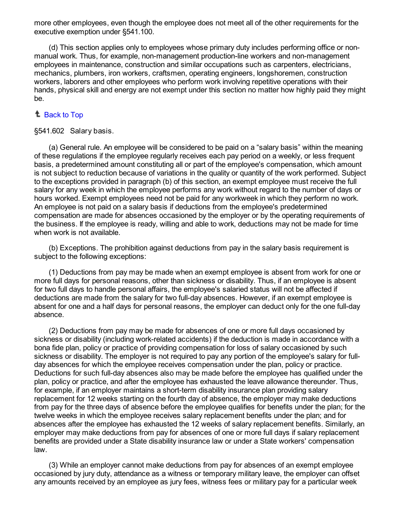more other employees, even though the employee does not meet all of the other requirements for the executive exemption under §541.100.

(d) This section applies only to employees whose primary duty includes performing office or nonmanual work. Thus, for example, non-management production-line workers and non-management employees in maintenance, construction and similar occupations such as carpenters, electricians, mechanics, plumbers, iron workers, craftsmen, operating engineers, longshoremen, construction workers, laborers and other employees who perform work involving repetitive operations with their hands, physical skill and energy are not exempt under this section no matter how highly paid they might be.

### <sup>1</sup> Back to Top

#### §541.602 Salary basis.

(a) General rule. An employee will be considered to be paid on a "salary basis" within the meaning of these regulations if the employee regularly receives each pay period on a weekly, or less frequent basis, a predetermined amount constituting all or part of the employee's compensation, which amount is not subject to reduction because of variations in the quality or quantity of the work performed. Subject to the exceptions provided in paragraph (b) of this section, an exempt employee must receive the full salary for any week in which the employee performs any work without regard to the number of days or hours worked. Exempt employees need not be paid for any workweek in which they perform no work. An employee is not paid on a salary basis if deductions from the employee's predetermined compensation are made for absences occasioned by the employer or by the operating requirements of the business. If the employee is ready, willing and able to work, deductions may not be made for time when work is not available.

(b) Exceptions. The prohibition against deductions from pay in the salary basis requirement is subject to the following exceptions:

(1) Deductions from pay may be made when an exempt employee is absent from work for one or more full days for personal reasons, other than sickness or disability. Thus, if an employee is absent for two full days to handle personal affairs, the employee's salaried status will not be affected if deductions are made from the salary for two full-day absences. However, if an exempt employee is absent for one and a half days for personal reasons, the employer can deduct only for the one full-day absence.

(2) Deductions from pay may be made for absences of one or more full days occasioned by sickness or disability (including work-related accidents) if the deduction is made in accordance with a bona fide plan, policy or practice of providing compensation for loss of salary occasioned by such sickness or disability. The employer is not required to pay any portion of the employee's salary for fullday absences for which the employee receives compensation under the plan, policy or practice. Deductions for such full-day absences also may be made before the employee has qualified under the plan, policy or practice, and after the employee has exhausted the leave allowance thereunder. Thus, for example, if an employer maintains a short-term disability insurance plan providing salary replacement for 12 weeks starting on the fourth day of absence, the employer may make deductions from pay for the three days of absence before the employee qualifies for benefits under the plan; for the twelve weeks in which the employee receives salary replacement benefits under the plan; and for absences after the employee has exhausted the 12 weeks of salary replacement benefits. Similarly, an employer may make deductions from pay for absences of one or more full days if salary replacement benefits are provided under a State disability insurance law or under a State workers' compensation law.

(3) While an employer cannot make deductions from pay for absences of an exempt employee occasioned by jury duty, attendance as a witness or temporary military leave, the employer can offset any amounts received by an employee as jury fees, witness fees or military pay for a particular week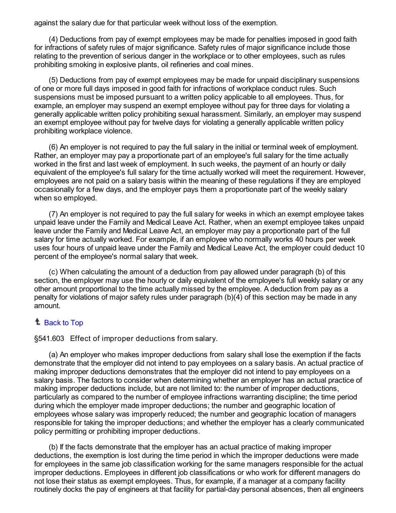against the salary due for that particular week without loss of the exemption.

(4) Deductions from pay of exempt employees may be made for penalties imposed in good faith for infractions of safety rules of major significance. Safety rules of major significance include those relating to the prevention of serious danger in the workplace or to other employees, such as rules prohibiting smoking in explosive plants, oil refineries and coal mines.

(5) Deductions from pay of exempt employees may be made for unpaid disciplinary suspensions of one or more full days imposed in good faith for infractions of workplace conduct rules. Such suspensions must be imposed pursuant to a written policy applicable to all employees. Thus, for example, an employer may suspend an exempt employee without pay for three days for violating a generally applicable written policy prohibiting sexual harassment. Similarly, an employer may suspend an exempt employee without pay for twelve days for violating a generally applicable written policy prohibiting workplace violence.

(6) An employer is not required to pay the full salary in the initial or terminal week of employment. Rather, an employer may pay a proportionate part of an employee's full salary for the time actually worked in the first and last week of employment. In such weeks, the payment of an hourly or daily equivalent of the employee's full salary for the time actually worked will meet the requirement. However, employees are not paid on a salary basis within the meaning of these regulations if they are employed occasionally for a few days, and the employer pays them a proportionate part of the weekly salary when so employed.

(7) An employer is not required to pay the full salary for weeks in which an exempt employee takes unpaid leave under the Family and Medical Leave Act. Rather, when an exempt employee takes unpaid leave under the Family and Medical Leave Act, an employer may pay a proportionate part of the full salary for time actually worked. For example, if an employee who normally works 40 hours per week uses four hours of unpaid leave under the Family and Medical Leave Act, the employer could deduct 10 percent of the employee's normal salary that week.

(c) When calculating the amount of a deduction from pay allowed under paragraph (b) of this section, the employer may use the hourly or daily equivalent of the employee's full weekly salary or any other amount proportional to the time actually missed by the employee. A deduction from pay as a penalty for violations of major safety rules under paragraph (b)(4) of this section may be made in any amount.

#### <sup>1</sup> Back to Top

§541.603 Effect of improper deductions from salary.

(a) An employer who makes improper deductions from salary shall lose the exemption if the facts demonstrate that the employer did not intend to pay employees on a salary basis. An actual practice of making improper deductions demonstrates that the employer did not intend to pay employees on a salary basis. The factors to consider when determining whether an employer has an actual practice of making improper deductions include, but are not limited to: the number of improper deductions, particularly as compared to the number of employee infractions warranting discipline; the time period during which the employer made improper deductions; the number and geographic location of employees whose salary was improperly reduced; the number and geographic location of managers responsible for taking the improper deductions; and whether the employer has a clearly communicated policy permitting or prohibiting improper deductions.

(b) If the facts demonstrate that the employer has an actual practice of making improper deductions, the exemption is lost during the time period in which the improper deductions were made for employees in the same job classification working for the same managers responsible for the actual improper deductions. Employees in different job classifications or who work for different managers do not lose their status as exempt employees. Thus, for example, if a manager at a company facility routinely docks the pay of engineers at that facility for partial-day personal absences, then all engineers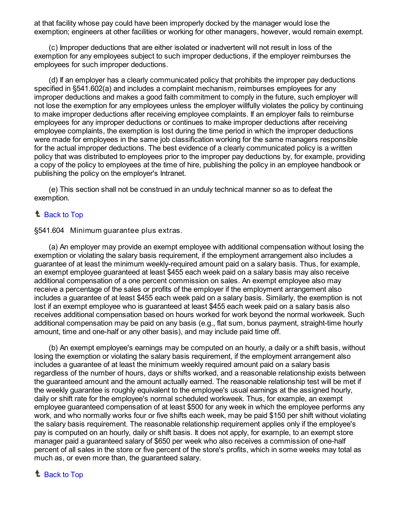at that facility whose pay could have been improperly docked by the manager would lose the exemption; engineers at other facilities or working for other managers, however, would remain exempt.

(c) Improper deductions that are either isolated or inadvertent will not result in loss of the exemption for any employees subject to such improper deductions, if the employer reimburses the employees for such improper deductions.

(d) If an employer has a clearly communicated policy that prohibits the improper pay deductions specified in §541.602(a) and includes a complaint mechanism, reimburses employees for any improper deductions and makes a good faith commitment to comply in the future, such employer will not lose the exemption for any employees unless the employer willfully violates the policy by continuing to make improper deductions after receiving employee complaints. If an employer fails to reimburse employees for any improper deductions or continues to make improper deductions after receiving employee complaints, the exemption is lost during the time period in which the improper deductions were made for employees in the same job classification working for the same managers responsible for the actual improper deductions. The best evidence of a clearly communicated policy is a written policy that was distributed to employees prior to the improper pay deductions by, for example, providing a copy of the policy to employees at the time of hire, publishing the policy in an employee handbook or publishing the policy on the employer's Intranet.

(e) This section shall not be construed in an unduly technical manner so as to defeat the exemption.

### <sup>1</sup> Back to Top

§541.604 Minimum guarantee plus extras.

(a) An employer may provide an exempt employee with additional compensation without losing the exemption or violating the salary basis requirement, if the employment arrangement also includes a guarantee of at least the minimum weekly-required amount paid on a salary basis. Thus, for example, an exempt employee guaranteed at least \$455 each week paid on a salary basis may also receive additional compensation of a one percent commission on sales. An exempt employee also may receive a percentage of the sales or profits of the employer if the employment arrangement also includes a guarantee of at least \$455 each week paid on a salary basis. Similarly, the exemption is not lost if an exempt employee who is guaranteed at least \$455 each week paid on a salary basis also receives additional compensation based on hours worked for work beyond the normal workweek. Such additional compensation may be paid on any basis (e.g., flat sum, bonus payment, straight-time hourly amount, time and one-half or any other basis), and may include paid time off.

(b) An exempt employee's earnings may be computed on an hourly, a daily or a shift basis, without losing the exemption or violating the salary basis requirement, if the employment arrangement also includes a guarantee of at least the minimum weekly required amount paid on a salary basis regardless of the number of hours, days or shifts worked, and a reasonable relationship exists between the guaranteed amount and the amount actually earned. The reasonable relationship test will be met if the weekly guarantee is roughly equivalent to the employee's usual earnings at the assigned hourly, daily or shift rate for the employee's normal scheduled workweek. Thus, for example, an exempt employee guaranteed compensation of at least \$500 for any week in which the employee performs any work, and who normally works four or five shifts each week, may be paid \$150 per shift without violating the salary basis requirement. The reasonable relationship requirement applies only if the employee's pay is computed on an hourly, daily or shift basis. It does not apply, for example, to an exempt store manager paid a guaranteed salary of \$650 per week who also receives a commission of one-half percent of all sales in the store or five percent of the store's profits, which in some weeks may total as much as, or even more than, the guaranteed salary.

### <sup>1</sup> Back to Top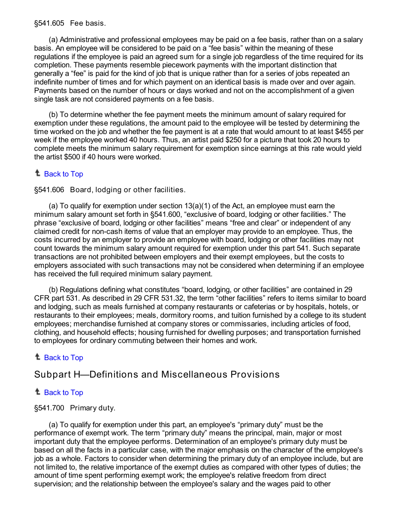#### §541.605 Fee basis.

(a) Administrative and professional employees may be paid on a fee basis, rather than on a salary basis. An employee will be considered to be paid on a "fee basis" within the meaning of these regulations if the employee is paid an agreed sum for a single job regardless of the time required for its completion. These payments resemble piecework payments with the important distinction that generally a "fee" is paid for the kind of job that is unique rather than for a series of jobs repeated an indefinite number of times and for which payment on an identical basis is made over and over again. Payments based on the number of hours or days worked and not on the accomplishment of a given single task are not considered payments on a fee basis.

(b) To determine whether the fee payment meets the minimum amount of salary required for exemption under these regulations, the amount paid to the employee will be tested by determining the time worked on the job and whether the fee payment is at a rate that would amount to at least \$455 per week if the employee worked 40 hours. Thus, an artist paid \$250 for a picture that took 20 hours to complete meets the minimum salary requirement for exemption since earnings at this rate would yield the artist \$500 if 40 hours were worked.

### <sup>t</sup> Back to Top

§541.606 Board, lodging or other facilities.

(a) To qualify for exemption under section  $13(a)(1)$  of the Act, an employee must earn the minimum salary amount set forth in §541.600, "exclusive of board, lodging or other facilities." The phrase "exclusive of board, lodging or other facilities" means "free and clear" or independent of any claimed credit for non-cash items of value that an employer may provide to an employee. Thus, the costs incurred by an employer to provide an employee with board, lodging or other facilities may not count towards the minimum salary amount required for exemption under this part 541. Such separate transactions are not prohibited between employers and their exempt employees, but the costs to employers associated with such transactions may not be considered when determining if an employee has received the full required minimum salary payment.

(b) Regulations defining what constitutes "board, lodging, or other facilities" are contained in 29 CFR part 531. As described in 29 CFR 531.32, the term "other facilities" refers to items similar to board and lodging, such as meals furnished at company restaurants or cafeterias or by hospitals, hotels, or restaurants to their employees; meals, dormitory rooms, and tuition furnished by a college to its student employees; merchandise furnished at company stores or commissaries, including articles of food, clothing, and household effects; housing furnished for dwelling purposes; and transportation furnished to employees for ordinary commuting between their homes and work.

### <sup>1</sup> Back to Top

## Subpart H—Definitions and Miscellaneous Provisions

### <sup>1</sup> Back to Top

§541.700 Primary duty.

(a) To qualify for exemption under this part, an employee's "primary duty" must be the performance of exempt work. The term "primary duty" means the principal, main, major or most important duty that the employee performs. Determination of an employee's primary duty must be based on all the facts in a particular case, with the major emphasis on the character of the employee's job as a whole. Factors to consider when determining the primary duty of an employee include, but are not limited to, the relative importance of the exempt duties as compared with other types of duties; the amount of time spent performing exempt work; the employee's relative freedom from direct supervision; and the relationship between the employee's salary and the wages paid to other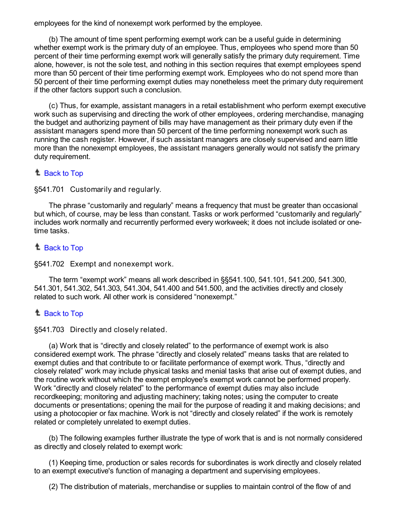employees for the kind of nonexempt work performed by the employee.

(b) The amount of time spent performing exempt work can be a useful guide in determining whether exempt work is the primary duty of an employee. Thus, employees who spend more than 50 percent of their time performing exempt work will generally satisfy the primary duty requirement. Time alone, however, is not the sole test, and nothing in this section requires that exempt employees spend more than 50 percent of their time performing exempt work. Employees who do not spend more than 50 percent of their time performing exempt duties may nonetheless meet the primary duty requirement if the other factors support such a conclusion.

(c) Thus, for example, assistant managers in a retail establishment who perform exempt executive work such as supervising and directing the work of other employees, ordering merchandise, managing the budget and authorizing payment of bills may have management as their primary duty even if the assistant managers spend more than 50 percent of the time performing nonexempt work such as running the cash register. However, if such assistant managers are closely supervised and earn little more than the nonexempt employees, the assistant managers generally would not satisfy the primary duty requirement.

### <sup>t</sup> Back to Top

§541.701 Customarily and regularly.

The phrase "customarily and regularly" means a frequency that must be greater than occasional but which, of course, may be less than constant. Tasks or work performed "customarily and regularly" includes work normally and recurrently performed every workweek; it does not include isolated or onetime tasks.

#### <sup>1</sup> Back to Top

§541.702 Exempt and nonexempt work.

The term "exempt work" means all work described in §§541.100, 541.101, 541.200, 541.300, 541.301, 541.302, 541.303, 541.304, 541.400 and 541.500, and the activities directly and closely related to such work. All other work is considered "nonexempt."

### <sup>1</sup> Back to Top

§541.703 Directly and closely related.

(a) Work that is "directly and closely related" to the performance of exempt work is also considered exempt work. The phrase "directly and closely related" means tasks that are related to exempt duties and that contribute to or facilitate performance of exempt work. Thus, "directly and closely related" work may include physical tasks and menial tasks that arise out of exempt duties, and the routine work without which the exempt employee's exempt work cannot be performed properly. Work "directly and closely related" to the performance of exempt duties may also include recordkeeping; monitoring and adjusting machinery; taking notes; using the computer to create documents or presentations; opening the mail for the purpose of reading it and making decisions; and using a photocopier or fax machine. Work is not "directly and closely related" if the work is remotely related or completely unrelated to exempt duties.

(b) The following examples further illustrate the type of work that is and is not normally considered as directly and closely related to exempt work:

(1) Keeping time, production or sales records for subordinates is work directly and closely related to an exempt executive's function of managing a department and supervising employees.

(2) The distribution of materials, merchandise or supplies to maintain control of the flow of and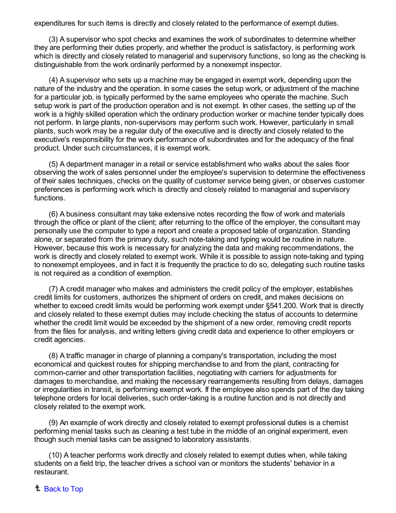expenditures for such items is directly and closely related to the performance of exempt duties.

(3) A supervisor who spot checks and examines the work of subordinates to determine whether they are performing their duties properly, and whether the product is satisfactory, is performing work which is directly and closely related to managerial and supervisory functions, so long as the checking is distinguishable from the work ordinarily performed by a nonexempt inspector.

(4) A supervisor who sets up a machine may be engaged in exempt work, depending upon the nature of the industry and the operation. In some cases the setup work, or adjustment of the machine for a particular job, is typically performed by the same employees who operate the machine. Such setup work is part of the production operation and is not exempt. In other cases, the setting up of the work is a highly skilled operation which the ordinary production worker or machine tender typically does not perform. In large plants, non-supervisors may perform such work. However, particularly in small plants, such work may be a regular duty of the executive and is directly and closely related to the executive's responsibility for the work performance of subordinates and for the adequacy of the final product. Under such circumstances, it is exempt work.

(5) A department manager in a retail or service establishment who walks about the sales floor observing the work of sales personnel under the employee's supervision to determine the effectiveness of their sales techniques, checks on the quality of customer service being given, or observes customer preferences is performing work which is directly and closely related to managerial and supervisory functions.

(6) A business consultant may take extensive notes recording the flow of work and materials through the office or plant of the client; after returning to the office of the employer, the consultant may personally use the computer to type a report and create a proposed table of organization. Standing alone, or separated from the primary duty, such note-taking and typing would be routine in nature. However, because this work is necessary for analyzing the data and making recommendations, the work is directly and closely related to exempt work. While it is possible to assign note-taking and typing to nonexempt employees, and in fact it is frequently the practice to do so, delegating such routine tasks is not required as a condition of exemption.

(7) A credit manager who makes and administers the credit policy of the employer, establishes credit limits for customers, authorizes the shipment of orders on credit, and makes decisions on whether to exceed credit limits would be performing work exempt under §541.200. Work that is directly and closely related to these exempt duties may include checking the status of accounts to determine whether the credit limit would be exceeded by the shipment of a new order, removing credit reports from the files for analysis, and writing letters giving credit data and experience to other employers or credit agencies.

(8) A traffic manager in charge of planning a company's transportation, including the most economical and quickest routes for shipping merchandise to and from the plant, contracting for common-carrier and other transportation facilities, negotiating with carriers for adjustments for damages to merchandise, and making the necessary rearrangements resulting from delays, damages or irregularities in transit, is performing exempt work. If the employee also spends part of the day taking telephone orders for local deliveries, such order-taking is a routine function and is not directly and closely related to the exempt work.

(9) An example of work directly and closely related to exempt professional duties is a chemist performing menial tasks such as cleaning a test tube in the middle of an original experiment, even though such menial tasks can be assigned to laboratory assistants.

(10) A teacher performs work directly and closely related to exempt duties when, while taking students on a field trip, the teacher drives a school van or monitors the students' behavior in a restaurant.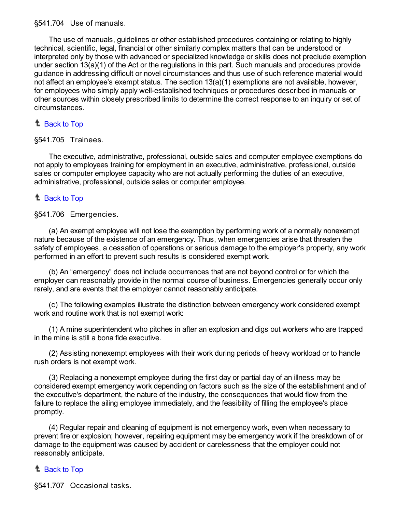§541.704 Use of manuals.

The use of manuals, guidelines or other established procedures containing or relating to highly technical, scientific, legal, financial or other similarly complex matters that can be understood or interpreted only by those with advanced or specialized knowledge or skills does not preclude exemption under section 13(a)(1) of the Act or the regulations in this part. Such manuals and procedures provide guidance in addressing difficult or novel circumstances and thus use of such reference material would not affect an employee's exempt status. The section 13(a)(1) exemptions are not available, however, for employees who simply apply well-established techniques or procedures described in manuals or other sources within closely prescribed limits to determine the correct response to an inquiry or set of circumstances.

### <sup>t</sup> Back to Top

#### §541.705 Trainees.

The executive, administrative, professional, outside sales and computer employee exemptions do not apply to employees training for employment in an executive, administrative, professional, outside sales or computer employee capacity who are not actually performing the duties of an executive, administrative, professional, outside sales or computer employee.

### <sup>1</sup> Back to Top

#### §541.706 Emergencies.

(a) An exempt employee will not lose the exemption by performing work of a normally nonexempt nature because of the existence of an emergency. Thus, when emergencies arise that threaten the safety of employees, a cessation of operations or serious damage to the employer's property, any work performed in an effort to prevent such results is considered exempt work.

(b) An "emergency" does not include occurrences that are not beyond control or for which the employer can reasonably provide in the normal course of business. Emergencies generally occur only rarely, and are events that the employer cannot reasonably anticipate.

(c) The following examples illustrate the distinction between emergency work considered exempt work and routine work that is not exempt work:

(1) A mine superintendent who pitches in after an explosion and digs out workers who are trapped in the mine is still a bona fide executive.

(2) Assisting nonexempt employees with their work during periods of heavy workload or to handle rush orders is not exempt work.

(3) Replacing a nonexempt employee during the first day or partial day of an illness may be considered exempt emergency work depending on factors such as the size of the establishment and of the executive's department, the nature of the industry, the consequences that would flow from the failure to replace the ailing employee immediately, and the feasibility of filling the employee's place promptly.

(4) Regular repair and cleaning of equipment is not emergency work, even when necessary to prevent fire or explosion; however, repairing equipment may be emergency work if the breakdown of or damage to the equipment was caused by accident or carelessness that the employer could not reasonably anticipate.

#### <sup>1</sup> Back to Top

§541.707 Occasional tasks.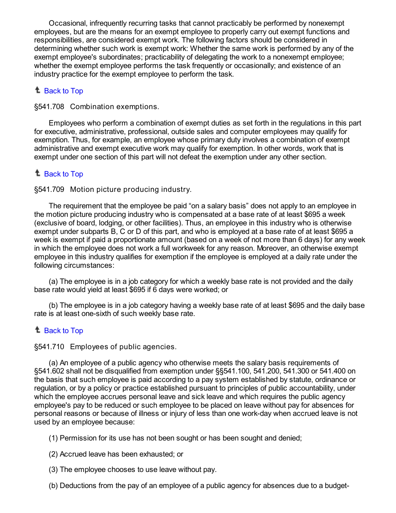Occasional, infrequently recurring tasks that cannot practicably be performed by nonexempt employees, but are the means for an exempt employee to properly carry out exempt functions and responsibilities, are considered exempt work. The following factors should be considered in determining whether such work is exempt work: Whether the same work is performed by any of the exempt employee's subordinates; practicability of delegating the work to a nonexempt employee; whether the exempt employee performs the task frequently or occasionally; and existence of an industry practice for the exempt employee to perform the task.

### <sup>1</sup> Back to Top

§541.708 Combination exemptions.

Employees who perform a combination of exempt duties as set forth in the regulations in this part for executive, administrative, professional, outside sales and computer employees may qualify for exemption. Thus, for example, an employee whose primary duty involves a combination of exempt administrative and exempt executive work may qualify for exemption. In other words, work that is exempt under one section of this part will not defeat the exemption under any other section.

### <sup>t</sup> Back to Top

§541.709 Motion picture producing industry.

The requirement that the employee be paid "on a salary basis" does not apply to an employee in the motion picture producing industry who is compensated at a base rate of at least \$695 a week (exclusive of board, lodging, or other facilities). Thus, an employee in this industry who is otherwise exempt under subparts B, C or D of this part, and who is employed at a base rate of at least \$695 a week is exempt if paid a proportionate amount (based on a week of not more than 6 days) for any week in which the employee does not work a full workweek for any reason. Moreover, an otherwise exempt employee in this industry qualifies for exemption if the employee is employed at a daily rate under the following circumstances:

(a) The employee is in a job category for which a weekly base rate is not provided and the daily base rate would yield at least \$695 if 6 days were worked; or

(b) The employee is in a job category having a weekly base rate of at least \$695 and the daily base rate is at least one-sixth of such weekly base rate.

#### <sup>t</sup> Back to Top

§541.710 Employees of public agencies.

(a) An employee of a public agency who otherwise meets the salary basis requirements of §541.602 shall not be disqualified from exemption under §§541.100, 541.200, 541.300 or 541.400 on the basis that such employee is paid according to a pay system established by statute, ordinance or regulation, or by a policy or practice established pursuant to principles of public accountability, under which the employee accrues personal leave and sick leave and which requires the public agency employee's pay to be reduced or such employee to be placed on leave without pay for absences for personal reasons or because of illness or injury of less than one work-day when accrued leave is not used by an employee because:

(1) Permission for its use has not been sought or has been sought and denied;

(2) Accrued leave has been exhausted; or

(3) The employee chooses to use leave without pay.

(b) Deductions from the pay of an employee of a public agency for absences due to a budget-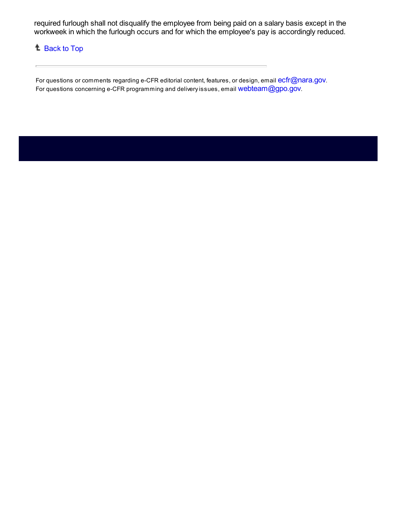required furlough shall not disqualify the employee from being paid on a salary basis except in the workweek in which the furlough occurs and for which the employee's pay is accordingly reduced.

### <sup>1</sup> Back to Top

For questions or comments regarding e-CFR editorial content, features, or design, email [ecfr@nara.gov](mailto:ecfr@nara.gov). For questions concerning e-CFR programming and delivery issues, email [webteam@gpo.gov](mailto:webteam@gpo.gov).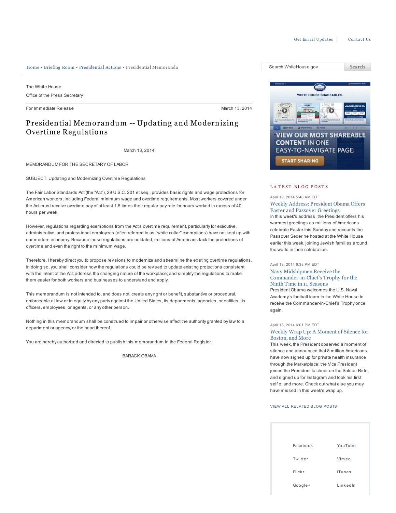[Home](http://www.whitehouse.gov/) • [Briefing Room](http://www.whitehouse.gov/briefing-room) • [Presidential Actions](http://www.whitehouse.gov/briefing-room/presidential-actions) • Presidential Memoranda Search WhiteHouse.gov

The White House Office of the Press Secretary

For Immediate Release March 13, 2014

#### Presidential Memorandum -- Updating and Modernizing Overtime Regulations

March 13, 2014

MEMORANDUM FOR THE SECRETARY OF LABOR

SUBJECT: Updating and Modernizing Overtime Regulations

The Fair Labor Standards Act (the "Act"), 29 U.S.C. 201 et seq., provides basic rights and wage protections for American workers, including Federal minimum wage and overtime requirements. Most workers covered under the Act must receive overtime pay of at least 1.5 times their regular pay rate for hours worked in excess of 40 hours per week.

However, regulations regarding exemptions from the Act's overtime requirement, particularly for executive, administrative, and professional employees (often referred to as "white collar" exemptions) have not kept up with our modern economy. Because these regulations are outdated, millions of Americans lack the protections of overtime and even the right to the minimum wage.

Therefore, I hereby direct you to propose revisions to modernize and streamline the existing overtime regulations. In doing so, you shall consider how the regulations could be revised to update existing protections consistent with the intent of the Act; address the changing nature of the workplace; and simplify the regulations to make them easier for both workers and businesses to understand and apply.

This memorandum is not intended to, and does not, create any right or benefit, substantive or procedural, enforceable at law or in equity by any party against the United States, its departments, agencies, or entities, its officers, employees, or agents, or any other person.

Nothing in this memorandum shall be construed to impair or otherwise affect the authority granted by law to a department or agency, or the head thereof.

You are hereby authorized and directed to publish this memorandum in the Federal Register.

BARACK OBAMA



#### LATEST BLOG POSTS

April 19, 2014 5:48 AM EDT

#### [Weekly Address: President Obama Offers](http://www.whitehouse.gov/blog/2014/04/19/weekly-address-president-obama-offers-easter-and-passover-greetings) Easter and Passover Greetings

In this week's address, the President offers his warmest greetings as millions of Americans celebrate Easter this Sunday and recounts the Passover Seder he hosted at the White House earlier this week, joining Jewish families around the world in their celebration.

April 18, 2014 6:38 PM EDT

#### Navy Midshipmen Receive the [Commander-in-Chief's Trophy for the](http://www.whitehouse.gov/blog/2014/04/18/navy-midshipmen-receive-commander-chief-s-trophy-ninth-time-11-seasons) Ninth Time in 11 Seasons

President Obama welcomes the U.S. Naval Academy's football team to the White House to receive the Commander-in-Chief's Trophy once again.

#### April 18, 2014 6:01 PM EDT

#### [Weekly Wrap Up: A Moment of Silence for](http://www.whitehouse.gov/blog/2014/04/18/weekly-wrap-moment-silence-boston-and-more) Boston, and More

This week, the President observed a moment of silence and announced that 8 million Americans have now signed up for private health insurance through the Marketplace; the Vice President joined the President to cheer on the Soldier Ride, and signed up for Instagram and took his first selfie; and more. Check out what else you may have missed in this week's wrap up.

#### [VIEW ALL RELATED BLOG POSTS](http://www.whitehouse.gov/blog/issues/all)

| Facebook | YouTube  |
|----------|----------|
| Twitter  | Vimeo    |
| Flickr   | iTunes   |
| Google+  | LinkedIn |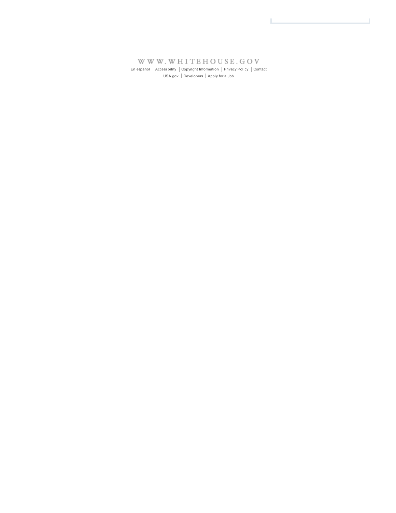WWW.WHITEHOUSE.GOV [En español](http://www.whitehouse.gov/espanol) | [Accessibility](http://www.whitehouse.gov/accessibility) | [Copyright Information](http://www.whitehouse.gov/copyright) | [Privacy Policy](http://www.whitehouse.gov/privacy/archive2) | [Contact](http://www.whitehouse.gov/contact/submit-questions-and-comments) [USA.gov](http://usa.gov/) | [Developers](http://www.whitehouse.gov/developers) | [Apply for a Job](https://apply.whitehouse.gov/)

J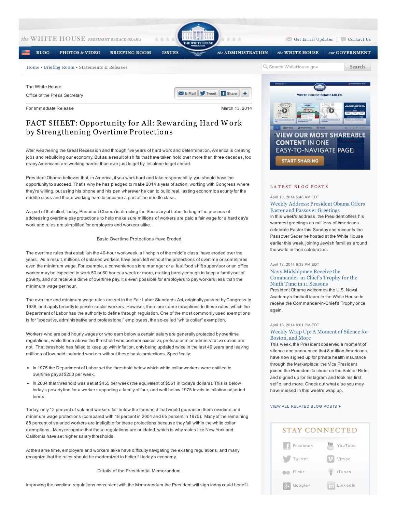

The White House Office of the Press Secretary

E-Mail Tweet | f Share ÷.

For Immediate Release March 13, 2014

### FACT SHEET: Opportunity for All: Rewarding Hard Work by Strengthening Overtime Protections

After weathering the Great Recession and through five years of hard work and determination, America is creating jobs and rebuilding our economy. But as a result of shifts that have taken hold over more than three decades, too many Americans are working harder than ever just to get by, let alone to get ahead.

President Obama believes that, in America, if you work hard and take responsibility, you should have the opportunity to succeed. That's why he has pledged to make 2014 a year of action, working with Congress where they're willing, but using his phone and his pen wherever he can to build real, lasting economic security for the middle class and those working hard to become a part of the middle class.

As part of that effort, today, President Obama is directing the Secretary of Labor to begin the process of addressing overtime pay protections to help make sure millions of workers are paid a fair wage for a hard day's work and rules are simplified for employers and workers alike.

#### Basic Overtime Protections Have Eroded

The overtime rules that establish the 40-hour workweek, a linchpin of the middle class, have eroded over the years. As a result, millions of salaried workers have been left without the protections of overtime or sometimes even the minimum wage. For example, a convenience store manager or a fast food shift supervisor or an office worker may be expected to work 50 or 60 hours a week or more, making barely enough to keep a family out of poverty, and not receive a dime of overtime pay. It's even possible for employers to pay workers less than the minimum wage per hour.

The overtime and minimum wage rules are set in the Fair Labor Standards Act, originally passed by Congress in 1938, and apply broadly to private-sector workers. However, there are some exceptions to these rules, which the Department of Labor has the authority to define through regulation. One of the most commonly used exemptions is for "executive, administrative and professional" employees, the so-called "white collar" exemption.

Workers who are paid hourly wages or who earn below a certain salary are generally protected by overtime regulations, while those above the threshold who perform executive, professional or administrative duties are not. That threshold has failed to keep up with inflation, only being updated twice in the last 40 years and leaving millions of low-paid, salaried workers without these basic protections. Specifically:

- In 1975 the Department of Labor set the threshold below which white collar workers were entitled to overtime pay at \$250 per week.
- In 2004 that threshold was set at \$455 per week (the equivalent of \$561 in today's dollars). This is below today's poverty line for a worker supporting a family of four, and well below 1975 levels in inflation adjusted terms.

Today, only 12 percent of salaried workers fall below the threshold that would guarantee them overtime and minimum wage protections (compared with 18 percent in 2004 and 65 percent in 1975). Many of the remaining 88 percent of salaried workers are ineligible for these protections because they fall within the white collar exemptions. Many recognize that these regulations are outdated, which is why states like New York and California have set higher salary thresholds.

At the same time, employers and workers alike have difficulty navigating the existing regulations, and many recognize that the rules should be modernized to better fit today's economy.

#### Details of the Presidential Memorandum

Improving the overtime regulations consistent with the Memorandum the President will sign today could benefit



#### LATEST BLOG POSTS

#### April 19, 2014 5:48 AM EDT

#### [Weekly Address: President Obama Offers](http://www.whitehouse.gov/blog/2014/04/19/weekly-address-president-obama-offers-easter-and-passover-greetings) Easter and Passover Greetings

In this week's address, the President offers his warmest greetings as millions of Americans celebrate Easter this Sunday and recounts the Passover Seder he hosted at the White House earlier this week, joining Jewish families around the world in their celebration.

#### April 18, 2014 6:38 PM EDT

#### Navy Midshipmen Receive the [Commander-in-Chief's Trophy for the](http://www.whitehouse.gov/blog/2014/04/18/navy-midshipmen-receive-commander-chief-s-trophy-ninth-time-11-seasons) Ninth Time in 11 Seasons

President Obama welcomes the U.S. Naval Academy's football team to the White House to receive the Commander-in-Chief's Trophy once again.

#### April 18, 2014 6:01 PM EDT

#### [Weekly Wrap Up: A Moment of Silence for](http://www.whitehouse.gov/blog/2014/04/18/weekly-wrap-moment-silence-boston-and-more) Boston, and More

This week, the President observed a moment of silence and announced that 8 million Americans have now signed up for private health insurance through the Marketplace; the Vice President joined the President to cheer on the Soldier Ride, and signed up for Instagram and took his first selfie; and more. Check out what else you may have missed in this week's wrap up.

#### [VIEW ALL RELATED BLOG POSTS](http://www.whitehouse.gov/blog/issues/all) ▶

### **STAY CONNECTED**

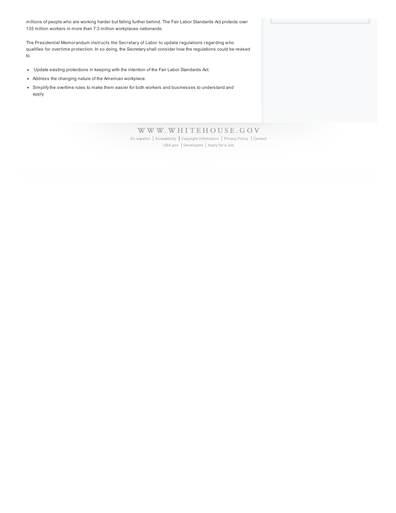millions of people who are working harder but falling further behind. The Fair Labor Standards Act protects over 135 million workers in more than 7.3 million workplaces nationwide.

The Presidential Memorandum instructs the Secretary of Labor to update regulations regarding who qualifies for overtime protection. In so doing, the Secretary shall consider how the regulations could be revised to:

- Update existing protections in keeping with the intention of the Fair Labor Standards Act.
- Address the changing nature of the American workplace.
- Simplify the overtime rules to make them easier for both workers and businesses to understand and apply.

WWW.WHITEHOUSE.GOV [En español](http://www.whitehouse.gov/espanol) | [Accessibility](http://www.whitehouse.gov/accessibility) | [Copyright Information](http://www.whitehouse.gov/copyright) | [Privacy Policy](http://www.whitehouse.gov/privacy/archive2) | [Contact](http://www.whitehouse.gov/contact/submit-questions-and-comments) [USA.gov](http://usa.gov/) | [Developers](http://www.whitehouse.gov/developers) | [Apply for a Job](https://apply.whitehouse.gov/)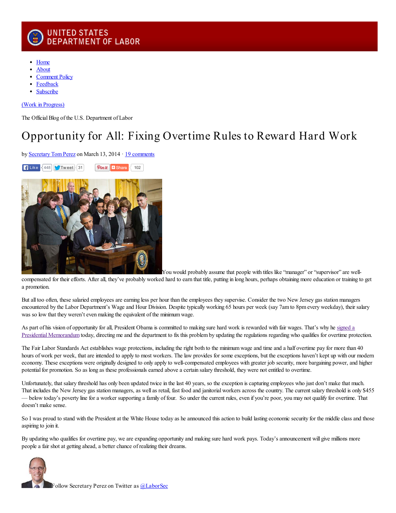

- [Home](http://social.dol.gov/blog)
- [About](http://social.dol.gov/blog/about/)
- [Comment Policy](http://social.dol.gov/blog/comment-policy/)
- [Feedback](http://social.dol.gov/blog/feedback/)
- [Subscribe](http://social.dol.gov/blog/feed/)

#### [\(Work in Progress\)](http://social.dol.gov/blog)

The Official Blog of the U.S. Department of Labor

# Opportunity for All: Fixing Overtime Rules to Reward Hard Work

by [Secretary Tom Perez](http://social.dol.gov/blog/author/secretary-tom-perez/) on March 13, 2014 · [19 comments](#page-44-0)



You would probably assume that people with titles like "manager" or "supervisor" are well-

compensated for their efforts. After all, they've probably worked hard to earn that title, putting in long hours, perhaps obtaining more education or training to get a promotion.

But all too often, these salaried employees are earning less per hour than the employees they supervise. Consider the two New Jersey gas station managers encountered by the Labor Department's Wage and Hour Division. Despite typically working 65 hours per week (say 7am to 8pm every weekday), their salary was so low that they weren't even making the equivalent of the minimum wage.

[As part of his vision of opportunity for all, President Obama is committed to making sure hard work is rewarded with fair wages. That's why he signed a](http://www.whitehouse.gov/the-press-office/2014/03/13/fact-sheet-opportunity-all-rewarding-hard-work-strengthening-overtime-pr) Presidential Memorandum today, directing me and the department to fix this problem by updating the regulations regarding who qualifies for overtime protection.

The Fair Labor Standards Act establishes wage protections, including the right both to the minimum wage and time and a half overtime pay for more than 40 hours of work per week, that are intended to apply to most workers. The law provides for some exceptions, but the exceptions haven't kept up with our modern economy. These exceptions were originally designed to only apply to well-compensated employees with greater job security, more bargaining power, and higher potential for promotion. So as long as these professionals earned above a certain salary threshold, they were not entitled to overtime.

Unfortunately, that salary threshold has only been updated twice in the last 40 years, so the exception is capturing employees who just don't make that much. That includes the New Jersey gas station managers, as well as retail, fast food and janitorial workers across the country. The current salary threshold is only \$455 — below today's poverty line for a worker supporting a family of four. So under the current rules, even if you're poor, you may not qualify for overtime. That doesn't make sense.

So I was proud to stand with the President at the White House today as he announced this action to build lasting economic security for the middle class and those aspiring to join it.

By updating who qualifies for overtime pay, we are expanding opportunity and making sure hard work pays. Today's announcement will give millions more people a fair shot at getting ahead, a better chance of realizing their dreams.

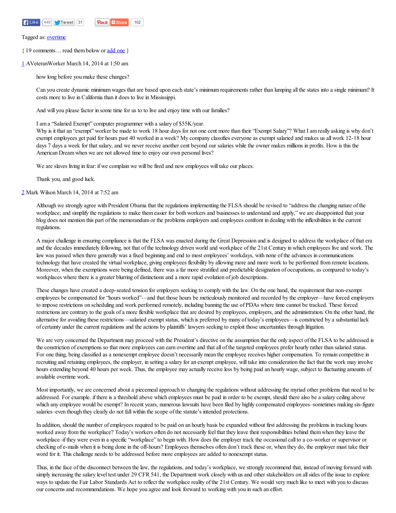#### Tagged as: **overtime**

<span id="page-44-0"></span>{19 comments... read them below or [add one](#page-47-0) }

<span id="page-44-1"></span>[1](#page-44-1) AVeteranWorker March 14, 2014 at 1:50 am

how long before you make these changes?

Can you create dynamic minimum wages that are based upon each state's minimum requirements rather than lumping all the states into a single minimum? It costs more to live in California than it does to live in Mississippi.

And will you please factor in some time for us to to live and enjoy time with our families?

I am a "Salaried Exempt" computer programmer with a salary of \$55K/year.

Why is it that an "exempt" worker be made to work 18 hour days for not one cent more than their "Exempt Salary"? What I am really asking is why don't exempt employees get paid for hours past 40 worked in a week? My company classifies everyone as exempt salaried and makes us all work 12-18 hour days 7 days a week for that salary, and we never receive another cent beyond our salaries while the owner makes millions in profits. How is this the American Dream when we are not allowed time to enjoy our own personal lives?

We are slaves living in fear: if we complain we will be fired and new employees will take our places.

Thank you, and good luck.

#### <span id="page-44-2"></span>[2](#page-44-2) Mark Wilson March 14, 2014 at 7:52 am

Although we strongly agree with President Obama that the regulations implementing the FLSA should be revised to "address the changing nature of the workplace; and simplify the regulations to make them easier for both workers and businesses to understand and apply," we are disappointed that your blog does not mention this part of the memorandum or the problems employers and employees confront in dealing with the inflexibilities in the current regulations.

A major challenge in ensuring compliance is that the FLSA was enacted during the Great Depression and is designed to address the workplace of that era and the decades immediately following, not that of the technology driven world and workplace of the 21st Century in which employees live and work. The law was passed when there generally was a fixed beginning and end to most employees' workdays, with none of the advances in communications technology that have created the virtual workplace, giving employees flexibility by allowing more and more work to be performed from remote locations. Moreover, when the exemptions were being defined, there was a far more stratified and predictable designation of occupations, as compared to today's workplaces where there is a greater blurring of distinctions and a more rapid evolution of job descriptions.

These changes have created a deep-seated tension for employers seeking to comply with the law. On the one hand, the requirement that non-exempt employees be compensated for "hours worked"—and that those hours be meticulously monitored and recorded by the employer—have forced employers to impose restrictions on scheduling and work performed remotely, including banning the use of PDAs where time cannot be tracked. These forced restrictions are contrary to the goals of a more flexible workplace that are desired by employees, employers, and the administration. On the other hand, the alternative for avoiding these restrictions—salaried exempt status, which is preferred by many of today's employees—is constricted by a substantial lack of certainty under the current regulations and the actions by plaintiffs' lawyers seeking to exploit those uncertainties through litigation.

We are very concerned the Department may proceed with the President's directive on the assumption that the only aspect of the FLSA to be addressed is the constriction of exemptions so that more employees can earn overtime and that all of the targeted employees prefer hourly rather than salaried status. For one thing, being classified as a nonexempt employee doesn't necessarily mean the employee receives higher compensation. To remain competitive in recruiting and retaining employees, the employer, in setting a salary for an exempt employee, will take into consideration the fact that the work may involve hours extending beyond 40 hours per week. Thus, the employee may actually receive less by being paid an hourly wage, subject to fluctuating amounts of available overtime work.

Most importantly, we are concerned about a piecemeal approach to changing the regulations without addressing the myriad other problems that need to be addressed. For example. if there is a threshold above which employees must be paid in order to be exempt, should there also be a salary ceiling above which any employee would be exempt? In recent years, numerous lawsuits have been filed by highly compensated employees–sometimes making six-figure salaries–even though they clearly do not fall within the scope of the statute's intended protections.

In addition, should the number of employees required to be paid on an hourly basis be expanded without first addressing the problems in tracking hours worked away from the workplace? Today's workers often do not necessarily feel that they leave their responsibilities behind them when they leave the workplace–if they were even in a specific "workplace" to begin with. How does the employer track the occasional call to a co-worker or supervisor or checking of e-mails when it is being done in the off-hours? Employees themselves often don't track these or, when they do, the employer must take their word for it. This challenge needs to be addressed before more employees are added to nonexempt status.

Thus, in the face of the disconnect between the law, the regulations, and today's workplace, we strongly recommend that, instead of moving forward with simply increasing the salary level test under 29 CFR 541, the Department work closely with us and other stakeholders on all sides of the issue to explore ways to update the Fair Labor Standards Act to reflect the workplace reality of the 21st Century. We would very much like to meet with you to discuss our concerns and recommendations. We hope you agree and look forward to working with you in such an effort.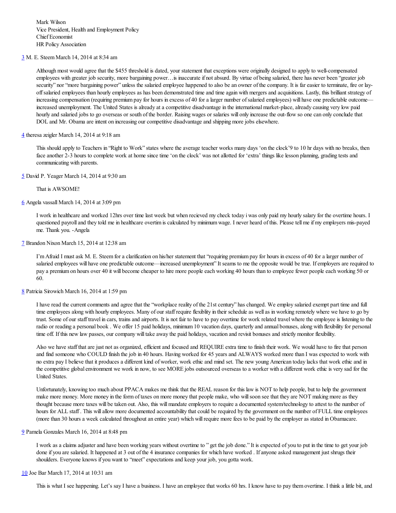Mark Wilson Vice President, Health and Employment Policy Chief Economist HR Policy Association

#### <span id="page-45-0"></span>[3](#page-45-0) M. E. Steem March 14, 2014 at 8:34 am

Although most would agree that the \$455 threshold is dated, your statement that exceptions were originally designed to apply to well-compensated employees with greater job security, more bargaining power…is inaccurate if not absurd. By virtue of being salaried, there has never been "greater job security" nor "more bargaining power" unless the salaried employee happened to also be an owner of the company. It is far easier to terminate, fire or layoff salaried employees than hourly employees as has been demonstrated time and time again with mergers and acquisitions. Lastly, this brilliant strategy of increasing compensation (requiring premium pay for hours in excess of 40 for a larger number of salaried employees) will have one predictable outcome increased unemployment. The United States is already at a competitive disadvantage in the international market-place, already causing very low paid hourly and salaried jobs to go overseas or south of the border. Raising wages or salaries will only increase the out-flow so one can only conclude that DOL and Mr. Obama are intent on increasing our competitive disadvantage and shipping more jobs elsewhere.

#### <span id="page-45-1"></span>[4](#page-45-1) theresa zeigler March 14, 2014 at 9:18 am

This should apply to Teachers in "Right to Work" states where the average teacher works many days 'on the clock'9 to 10 hr days with no breaks, then face another 2-3 hours to complete work at home since time 'on the clock' was not allotted for 'extra' things like lesson planning, grading tests and communicating with parents.

#### <span id="page-45-2"></span>[5](#page-45-2) David P. Yeager March 14, 2014 at 9:30 am

That is AWSOME!

#### <span id="page-45-3"></span>[6](#page-45-3) Angela vassall March 14, 2014 at 3:09 pm

I work in healthcare and worked 12hrs over time last week but when recieved my check today i was only paid my hourly salary for the overtime hours. I questioned payroll and they told me in healthcare overtim is calculated by minimum wage. I never heard of this. Please tell me if my employers mis-payed me. Thank you. -Angela

#### <span id="page-45-4"></span>[7](#page-45-4) Brandon Nixon March 15, 2014 at 12:38 am

I'm Afraid I must ask M. E. Steem for a clarification on his/her statement that "requiring premium pay for hours in excess of 40 for a larger number of salaried employees will have one predictable outcome—increased unemployment" It seams to me the opposite would be true. If employers are required to pay a premium on hours over 40 it will become cheaper to hire more people each working 40 hours than to employee fewer people each working 50 or 60.

#### <span id="page-45-5"></span>[8](#page-45-5) Patricia Sirowich March 16, 2014 at 1:59 pm

I have read the current comments and agree that the "workplace reality of the 21st century" has changed. We employ salaried exempt part time and full time employees along with hourly employees. Many of our staff require flexiblity in their schedule as well as in working remotely where we have to go by trust. Some of our staff travel in cars, trains and airports. It is not fair to have to pay overtime for work related travel where the employee is listening to the radio or reading a personal book. We offer 15 paid holidays, minimum 10 vacation days, quarterly and annual bonuses, along with flexibility for personal time off. If this new law passes, our company will take away the paid holidays, vacation and revisit bonuses and strictly monitor flexibility.

Also we have staff that are just not as organized, efficient and focused and REQUIRE extra time to finish their work. We would have to fire that person and find someone who COULD finish the job in 40 hours. Having worked for 45 years and ALWAYS worked more than I was expected to work with no extra pay I believe that it produces a different kind of worker, work ethic and mind set. The new young American today lacks that work ethic and in the competitive global environment we work in now, to see MORE jobs outsourced overseas to a worker with a different work ethic is very sad for the United States.

Unfortunately, knowing too much about PPACA makes me think that the REAL reason for this law is NOT to help people, but to help the government make more money. More money in the form of taxes on more money that people make, who will soon see that they are NOT making more as they thought because more taxes will be taken out. Also, this will mandate employers to require a documented system/technology to attest to the number of hours for ALL staff. This will allow more documented accountability that could be required by the government on the number of FULL time employees (more than 30 hours a week calculated throughout an entire year) which will require more fees to be paid by the employer as stated in Obamacare.

#### <span id="page-45-6"></span>[9](#page-45-6) Pamela Gonzales March 16, 2014 at 8:48 pm

I work as a claims adjuster and have been working years without overtime to " get the job done." It is expected of you to put in the time to get your job done if you are salaried. It happened at 3 out of the 4 insurance companies for which have worked . If anyone asked management just shrugs their shoulders. Everyone knows if you want to "meet" expectations and keep your job, you gotta work.

#### <span id="page-45-7"></span>[10](#page-45-7) Joe Bar March 17, 2014 at 10:31 am

This is what I see happening. Let's say I have a business. I have an employee that works 60 hrs. I know have to pay them overtime. I think a little bit, and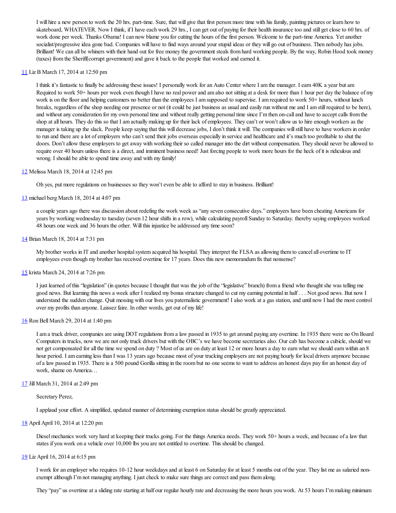I will hire a new person to work the 20 hrs. part-time. Sure, that will give that first person more time with his family, painting pictures or learn how to skateboard, WHATEVER. Now I think, if I have each work 29 hrs., I can get out of paying for their health insurance too and still get close to 60 hrs. of work done per week. Thanks Obama! I can now blame you for cutting the hours of the first person. Welcome to the part-time America. Yet another socialist/progressive idea gone bad. Companies will have to find ways around your stupid ideas or they will go out of business. Then nobody has jobs. Brilliant! We can all be whiners with their hand out for free money the government steals from hard working people. By the way, Robin Hood took money (taxes) from the Sheriff(corrupt government) and gave it back to the people that worked and earned it.

#### <span id="page-46-0"></span>[11](#page-46-0) Liz B March 17, 2014 at 12:50 pm

I think it's fantastic to finally be addressing these issues! I personally work for an Auto Center where I am the manager. I earn 40K a year but am Required to work 50+ hours per week even though I have no real power and am also not sitting at a desk for more than 1 hour per day the balance of my work is on the floor and helping customers no better than the employees I am supposed to supervise. I am required to work 50+ hours, without lunch breaks, regardless of the shop needing our presence or not (it could be just business as usual and easily run without me and I am still required to be here), and without any consideration for my own personal time and without really getting personal time since I'm then on-call and have to accept calls from the shop at all hours. They do this so that I am actually making up for their lack of employees. They can't or won't allow us to hire enough workers as the manager is taking up the slack. People keep saying that this will decrease jobs, I don't think it will. The companies will still have to have workers in order to run and there are a lot of employers who can't send their jobs overseas especially in service and healthcare and it's much too profitable to shut the doors. Don't allow these employers to get away with working their so called manager into the dirt without compensation. They should never be allowed to require over 40 hours unless there is a direct, and imminent business need! Just forcing people to work more hours for the heck of it is ridiculous and wrong. I should be able to spend time away and with my family!

#### <span id="page-46-1"></span>[12](#page-46-1) Melissa March 18, 2014 at 12:45 pm

Oh yes, put more regulations on businesses so they won't even be able to afford to stay in business. Brilliant!

#### <span id="page-46-2"></span>[13](#page-46-2) michael berg March 18, 2014 at 4:07 pm

a couple years ago there was discussion about redefing the work week as "any seven consecutive days." employers have been cheating Americans for years by working wednesday to tuesday (seven 12 hour shifts in a row), while calculating payroll Sunday to Saturday. thereby saying employees worked 48 hours one week and 36 hours the other. Will this injustice be addressed any time soon?

#### <span id="page-46-3"></span>[14](#page-46-3) Brian March 18, 2014 at 7:31 pm

My brother works in IT and another hospital system acquired his hospital. They interpret the FLSA as allowing them to cancel all overtime to IT employees even though my brother has received overtime for 17 years. Does this new memorandum fix that nonsense?

#### <span id="page-46-4"></span>[15](#page-46-4) krista March 24, 2014 at 7:26 pm

I just learned of this "legislation" (in quotes because I thought that was the job of the "legislative" branch) from a friend who thought she was telling me good news. But learning this news a week after I realized my bonus structure changed to cut my earning potential in half . . . Not good news. But now I understand the sudden change. Quit messing with our lives you paternalistic government! I also work at a gas station, and until now I had the most control over my profits than anyone. Laissez faire. In other words, get out of my life!

#### <span id="page-46-5"></span>[16](#page-46-5) Ron Bell March 29, 2014 at 1:40 pm

I am a truck driver, companies are using DOT regulations from a law passed in 1935 to get around paying any overtime. In 1935 there were no On Board Computers in trucks, now we are not only truck drivers but with the OBC's we have become secretaries also. Our cab has become a cubicle, should we not get compensated for all the time we spend on duty ? Most of us are on duty at least 12 or more hours a day to earn what we should earn within an 8 hour period. I am earning less than I was 13 years ago because most of your trucking employers are not paying hourly for local drivers anymore because of a law passed in 1935. There is a 500 pound Gorilla sitting in the room but no one seems to want to address an honest days pay for an honest day of work, shame on America…

#### <span id="page-46-6"></span>[17](#page-46-6) Jill March 31, 2014 at 2:49 pm

Secretary Perez,

I applaud your effort. A simplified, updated manner of determining exemption status should be greatly appreciated.

#### <span id="page-46-7"></span>[18](#page-46-7) April April 10, 2014 at 12:20 pm

Diesel mechanics work very hard at keeping their trucks going. For the things America needs. They work 50+ hours a week, and because of a law that states if you work on a vehicle over 10,000 lbs you are not entitled to overtime. This should be changed.

#### <span id="page-46-8"></span>[19](#page-46-8) Liz April 16, 2014 at 6:15 pm

I work for an employer who requires 10-12 hour weekdays and at least 6 on Saturday for at least 5 months out of the year. They list me as salaried nonexempt although I'm not managing anything. I just check to make sure things are correct and pass them along.

They "pay" us overtime at a sliding rate starting at half our regular hourly rate and decreasing the more hours you work. At 53 hours I'm making minimum